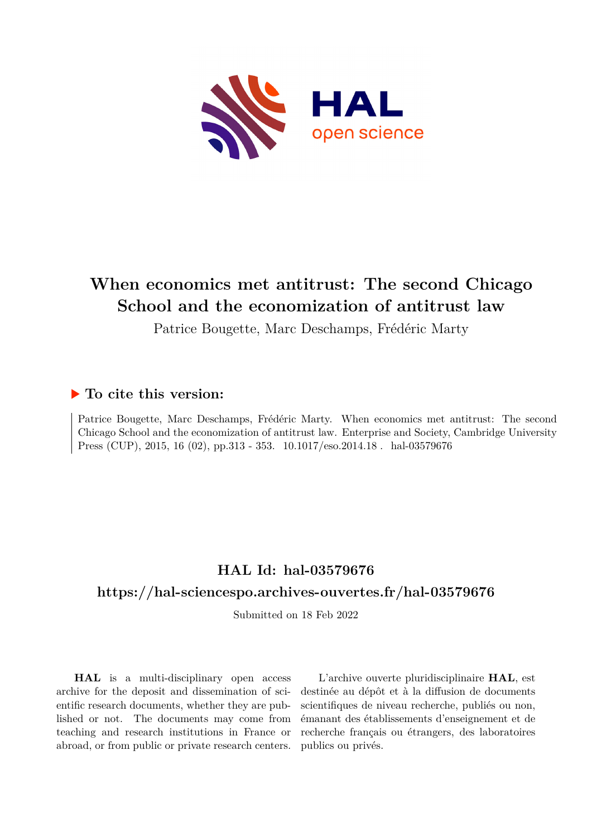

# **When economics met antitrust: The second Chicago School and the economization of antitrust law**

Patrice Bougette, Marc Deschamps, Frédéric Marty

# **To cite this version:**

Patrice Bougette, Marc Deschamps, Frédéric Marty. When economics met antitrust: The second Chicago School and the economization of antitrust law. Enterprise and Society, Cambridge University Press (CUP), 2015, 16 (02), pp.313 - 353.  $10.1017/\text{eso}.2014.18$ . hal-03579676

# **HAL Id: hal-03579676**

## **<https://hal-sciencespo.archives-ouvertes.fr/hal-03579676>**

Submitted on 18 Feb 2022

**HAL** is a multi-disciplinary open access archive for the deposit and dissemination of scientific research documents, whether they are published or not. The documents may come from teaching and research institutions in France or abroad, or from public or private research centers.

L'archive ouverte pluridisciplinaire **HAL**, est destinée au dépôt et à la diffusion de documents scientifiques de niveau recherche, publiés ou non, émanant des établissements d'enseignement et de recherche français ou étrangers, des laboratoires publics ou privés.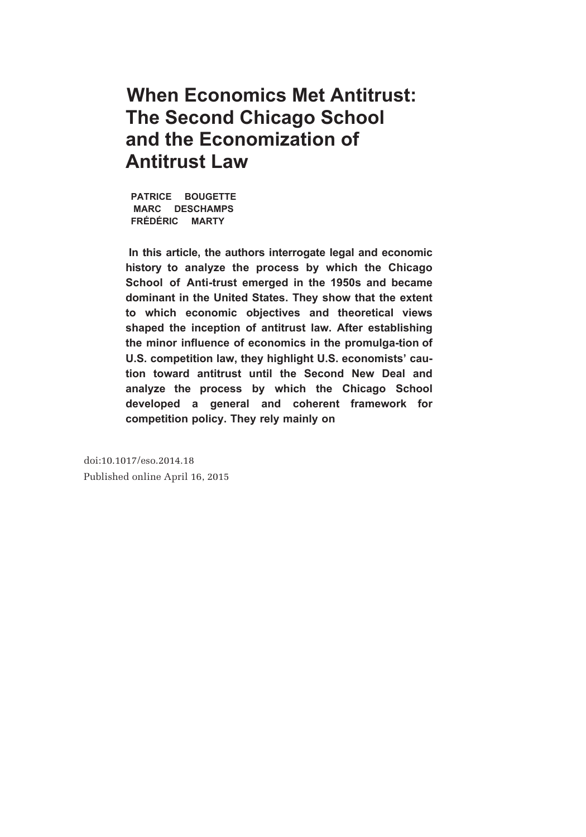# **When Economics Met Antitrust: The Second Chicago School and the Economization of Antitrust Law**

**PATRICE BOUGETTE MARC DESCHAMPS FRÉDÉRIC MARTY** 

**In this article, the authors interrogate legal and economic history to analyze the process by which the Chicago School of Anti-trust emerged in the 1950s and became dominant in the United States. They show that the extent to which economic objectives and theoretical views shaped the inception of antitrust law. After establishing the minor influence of economics in the promulga-tion of U.S. competition law, they highlight U.S. economists' caution toward antitrust until the Second New Deal and analyze the process by which the Chicago School developed a general and coherent framework for competition policy. They rely mainly on** 

 doi:10.1017/eso.2014.18 Published online April 16, 2015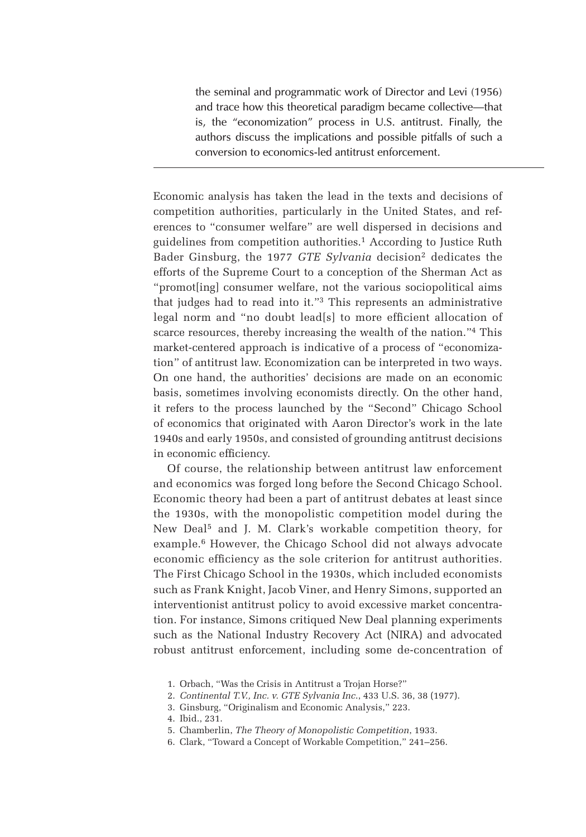the seminal and programmatic work of Director and Levi (1956) and trace how this theoretical paradigm became collective—that is, the "economization" process in U.S. antitrust. Finally, the authors discuss the implications and possible pitfalls of such a conversion to economics-led antitrust enforcement.

Economic analysis has taken the lead in the texts and decisions of competition authorities, particularly in the United States, and references to "consumer welfare" are well dispersed in decisions and guidelines from competition authorities. 1 According to Justice Ruth Bader Ginsburg, the 1977 *GTE Sylvania* decision<sup>2</sup> dedicates the efforts of the Supreme Court to a conception of the Sherman Act as "promot[ing] consumer welfare, not the various sociopolitical aims that judges had to read into it."<sup>3</sup> This represents an administrative legal norm and "no doubt lead[s] to more efficient allocation of scarce resources, thereby increasing the wealth of the nation."4 This market-centered approach is indicative of a process of "economization" of antitrust law. Economization can be interpreted in two ways. On one hand, the authorities' decisions are made on an economic basis, sometimes involving economists directly. On the other hand, it refers to the process launched by the "Second" Chicago School of economics that originated with Aaron Director's work in the late 1940s and early 1950s, and consisted of grounding antitrust decisions in economic efficiency.

Of course, the relationship between antitrust law enforcement and economics was forged long before the Second Chicago School. Economic theory had been a part of antitrust debates at least since the 1930s, with the monopolistic competition model during the New Deal<sup>5</sup> and J. M. Clark's workable competition theory, for example.<sup>6</sup> However, the Chicago School did not always advocate economic efficiency as the sole criterion for antitrust authorities. The First Chicago School in the 1930s, which included economists such as Frank Knight, Jacob Viner, and Henry Simons, supported an interventionist antitrust policy to avoid excessive market concentration. For instance, Simons critiqued New Deal planning experiments such as the National Industry Recovery Act (NIRA) and advocated robust antitrust enforcement, including some de-concentration of

- 1. Orbach, "Was the Crisis in Antitrust a Trojan Horse?"
- 2. *Continental T.V., Inc. v. GTE Sylvania Inc.*, 433 U.S. 36, 38 (1977).
- 3. Ginsburg, "Originalism and Economic Analysis," 223.
- 4. Ibid., 231.
- 5. Chamberlin, *The Theory of Monopolistic Competition* , 1933.
- 6. Clark, "Toward a Concept of Workable Competition," 241–256.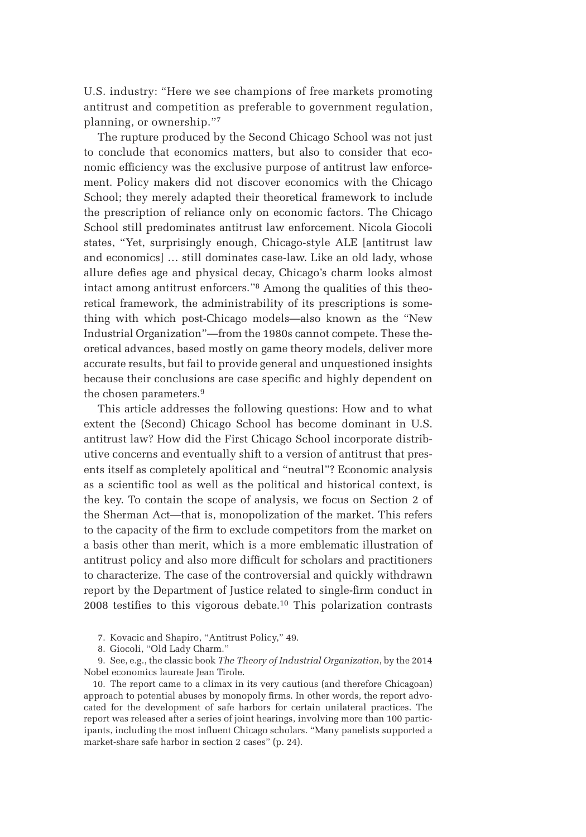U.S. industry: "Here we see champions of free markets promoting antitrust and competition as preferable to government regulation, planning, or ownership."7

The rupture produced by the Second Chicago School was not just to conclude that economics matters, but also to consider that economic efficiency was the exclusive purpose of antitrust law enforcement. Policy makers did not discover economics with the Chicago School; they merely adapted their theoretical framework to include the prescription of reliance only on economic factors. The Chicago School still predominates antitrust law enforcement. Nicola Giocoli states, "Yet, surprisingly enough, Chicago-style ALE [antitrust law and economics] … still dominates case-law. Like an old lady, whose allure defies age and physical decay, Chicago's charm looks almost intact among antitrust enforcers."<sup>8</sup> Among the qualities of this theoretical framework, the administrability of its prescriptions is something with which post-Chicago models—also known as the "New Industrial Organization"—from the 1980s cannot compete. These theoretical advances, based mostly on game theory models, deliver more accurate results, but fail to provide general and unquestioned insights because their conclusions are case specific and highly dependent on the chosen parameters. 9

This article addresses the following questions: How and to what extent the (Second) Chicago School has become dominant in U.S. antitrust law? How did the First Chicago School incorporate distributive concerns and eventually shift to a version of antitrust that presents itself as completely apolitical and "neutral"? Economic analysis as a scientific tool as well as the political and historical context, is the key. To contain the scope of analysis, we focus on Section 2 of the Sherman Act—that is, monopolization of the market. This refers to the capacity of the firm to exclude competitors from the market on a basis other than merit, which is a more emblematic illustration of antitrust policy and also more difficult for scholars and practitioners to characterize. The case of the controversial and quickly withdrawn report by the Department of Justice related to single-firm conduct in  $2008$  testifies to this vigorous debate.<sup>10</sup> This polarization contrasts

7. Kovacic and Shapiro, "Antitrust Policy," 49.

8. Giocoli, "Old Lady Charm."

 9. See, e.g., the classic book *The Theory of Industrial Organization*, by the 2014 Nobel economics laureate Jean Tirole.

 10. The report came to a climax in its very cautious (and therefore Chicagoan) approach to potential abuses by monopoly firms. In other words, the report advocated for the development of safe harbors for certain unilateral practices. The report was released after a series of joint hearings, involving more than 100 participants, including the most influent Chicago scholars. "Many panelists supported a market-share safe harbor in section 2 cases" (p. 24).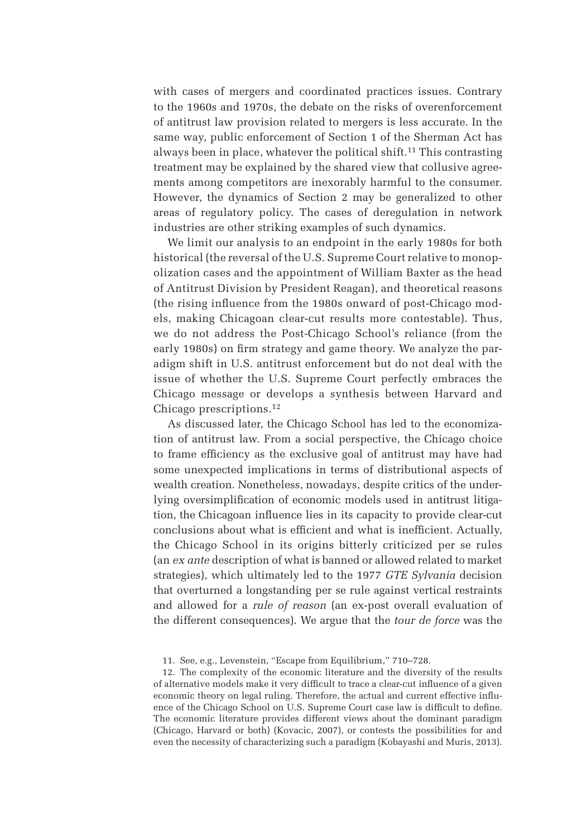with cases of mergers and coordinated practices issues. Contrary to the 1960s and 1970s, the debate on the risks of overenforcement of antitrust law provision related to mergers is less accurate. In the same way, public enforcement of Section 1 of the Sherman Act has always been in place, whatever the political shift. 11 This contrasting treatment may be explained by the shared view that collusive agreements among competitors are inexorably harmful to the consumer. However, the dynamics of Section 2 may be generalized to other areas of regulatory policy. The cases of deregulation in network industries are other striking examples of such dynamics.

We limit our analysis to an endpoint in the early 1980s for both historical (the reversal of the U.S. Supreme Court relative to monopolization cases and the appointment of William Baxter as the head of Antitrust Division by President Reagan), and theoretical reasons (the rising influence from the 1980s onward of post-Chicago models, making Chicagoan clear-cut results more contestable). Thus, we do not address the Post-Chicago School's reliance (from the early 1980s) on firm strategy and game theory. We analyze the paradigm shift in U.S. antitrust enforcement but do not deal with the issue of whether the U.S. Supreme Court perfectly embraces the Chicago message or develops a synthesis between Harvard and Chicago prescriptions. 12

As discussed later, the Chicago School has led to the economization of antitrust law. From a social perspective, the Chicago choice to frame efficiency as the exclusive goal of antitrust may have had some unexpected implications in terms of distributional aspects of wealth creation. Nonetheless, nowadays, despite critics of the underlying oversimplification of economic models used in antitrust litigation, the Chicagoan influence lies in its capacity to provide clear-cut conclusions about what is efficient and what is inefficient. Actually, the Chicago School in its origins bitterly criticized per se rules (an *ex ante* description of what is banned or allowed related to market strategies), which ultimately led to the 1977 *GTE Sylvania* decision that overturned a longstanding per se rule against vertical restraints and allowed for a *rule of reason* (an ex-post overall evaluation of the different consequences). We argue that the *tour de force* was the

 <sup>11.</sup> See, e.g., Levenstein, "Escape from Equilibrium," 710–728.

 <sup>12.</sup> The complexity of the economic literature and the diversity of the results of alternative models make it very difficult to trace a clear-cut influence of a given economic theory on legal ruling. Therefore, the actual and current effective influence of the Chicago School on U.S. Supreme Court case law is difficult to define. The economic literature provides different views about the dominant paradigm (Chicago, Harvard or both) (Kovacic, 2007), or contests the possibilities for and even the necessity of characterizing such a paradigm (Kobayashi and Muris, 2013).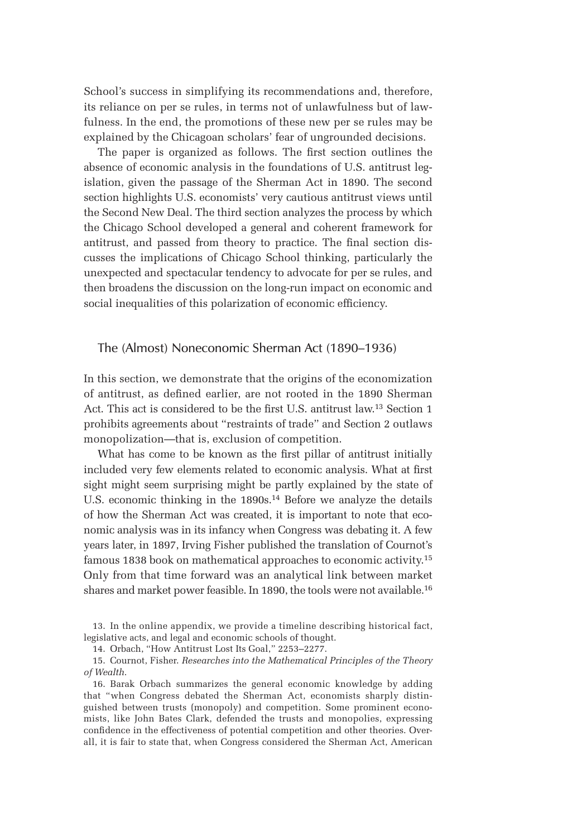School's success in simplifying its recommendations and, therefore, its reliance on per se rules, in terms not of unlawfulness but of lawfulness. In the end, the promotions of these new per se rules may be explained by the Chicagoan scholars' fear of ungrounded decisions.

The paper is organized as follows. The first section outlines the absence of economic analysis in the foundations of U.S. antitrust legislation, given the passage of the Sherman Act in 1890. The second section highlights U.S. economists' very cautious antitrust views until the Second New Deal. The third section analyzes the process by which the Chicago School developed a general and coherent framework for antitrust, and passed from theory to practice. The final section discusses the implications of Chicago School thinking, particularly the unexpected and spectacular tendency to advocate for per se rules, and then broadens the discussion on the long-run impact on economic and social inequalities of this polarization of economic efficiency.

#### The (Almost) Noneconomic Sherman Act (1890–1936)

In this section, we demonstrate that the origins of the economization of antitrust, as defined earlier, are not rooted in the 1890 Sherman Act. This act is considered to be the first U.S. antitrust law.<sup>13</sup> Section 1 prohibits agreements about "restraints of trade" and Section 2 outlaws monopolization—that is, exclusion of competition.

What has come to be known as the first pillar of antitrust initially included very few elements related to economic analysis. What at first sight might seem surprising might be partly explained by the state of U.S. economic thinking in the 1890s.<sup>14</sup> Before we analyze the details of how the Sherman Act was created, it is important to note that economic analysis was in its infancy when Congress was debating it. A few years later, in 1897, Irving Fisher published the translation of Cournot's famous 1838 book on mathematical approaches to economic activity. 15 Only from that time forward was an analytical link between market shares and market power feasible. In 1890, the tools were not available. 16

 13. In the online appendix, we provide a timeline describing historical fact, legislative acts, and legal and economic schools of thought.

 <sup>14.</sup> Orbach, "How Antitrust Lost Its Goal," 2253–2277.

 <sup>15.</sup> Cournot, Fisher. *Researches into the Mathematical Principles of the Theory of Wealth* .

 <sup>16.</sup> Barak Orbach summarizes the general economic knowledge by adding that "when Congress debated the Sherman Act, economists sharply distinguished between trusts (monopoly) and competition. Some prominent economists, like John Bates Clark, defended the trusts and monopolies, expressing confidence in the effectiveness of potential competition and other theories. Overall, it is fair to state that, when Congress considered the Sherman Act, American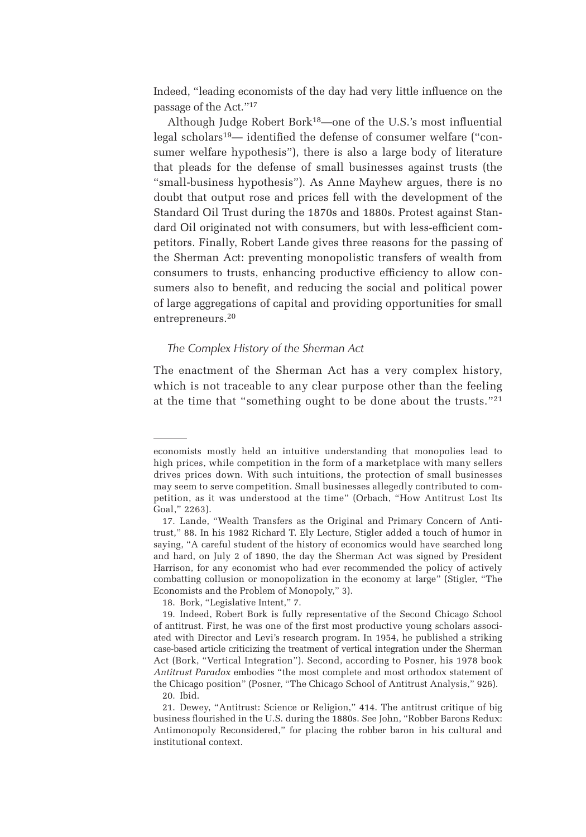Indeed, "leading economists of the day had very little influence on the passage of the Act."<sup>17</sup>

Although Judge Robert Bork<sup>18</sup>—one of the U.S.'s most influential legal scholars<sup>19</sup>— identified the defense of consumer welfare ("consumer welfare hypothesis"), there is also a large body of literature that pleads for the defense of small businesses against trusts (the "small-business hypothesis"). As Anne Mayhew argues, there is no doubt that output rose and prices fell with the development of the Standard Oil Trust during the 1870s and 1880s. Protest against Standard Oil originated not with consumers, but with less-efficient competitors. Finally, Robert Lande gives three reasons for the passing of the Sherman Act: preventing monopolistic transfers of wealth from consumers to trusts, enhancing productive efficiency to allow consumers also to benefit, and reducing the social and political power of large aggregations of capital and providing opportunities for small entrepreneurs. 20

### *The Complex History of the Sherman Act*

The enactment of the Sherman Act has a very complex history, which is not traceable to any clear purpose other than the feeling at the time that "something ought to be done about the trusts."<sup>21</sup>

economists mostly held an intuitive understanding that monopolies lead to high prices, while competition in the form of a marketplace with many sellers drives prices down. With such intuitions, the protection of small businesses may seem to serve competition. Small businesses allegedly contributed to competition, as it was understood at the time" (Orbach, "How Antitrust Lost Its Goal," 2263).

 <sup>17.</sup> Lande, "Wealth Transfers as the Original and Primary Concern of Antitrust," 88. In his 1982 Richard T. Ely Lecture, Stigler added a touch of humor in saying, "A careful student of the history of economics would have searched long and hard, on July 2 of 1890, the day the Sherman Act was signed by President Harrison, for any economist who had ever recommended the policy of actively combatting collusion or monopolization in the economy at large" (Stigler, "The Economists and the Problem of Monopoly," 3).

 <sup>18.</sup> Bork, "Legislative Intent," 7.

 <sup>19.</sup> Indeed, Robert Bork is fully representative of the Second Chicago School of antitrust. First, he was one of the first most productive young scholars associated with Director and Levi's research program. In 1954, he published a striking case-based article criticizing the treatment of vertical integration under the Sherman Act (Bork, "Vertical Integration"). Second, according to Posner, his 1978 book *Antitrust Paradox* embodies "the most complete and most orthodox statement of the Chicago position" (Posner, "The Chicago School of Antitrust Analysis," 926). 20. Ibid.

 <sup>21.</sup> Dewey, "Antitrust: Science or Religion," 414. The antitrust critique of big business flourished in the U.S. during the 1880s. See John, "Robber Barons Redux: Antimonopoly Reconsidered," for placing the robber baron in his cultural and institutional context.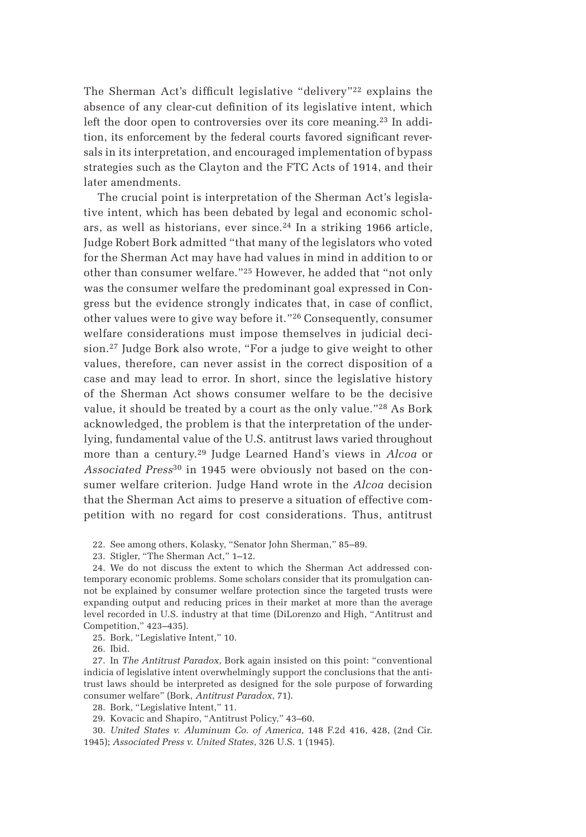The Sherman Act's difficult legislative "delivery"<sup>22</sup> explains the absence of any clear-cut definition of its legislative intent, which left the door open to controversies over its core meaning.<sup>23</sup> In addition, its enforcement by the federal courts favored significant reversals in its interpretation, and encouraged implementation of bypass strategies such as the Clayton and the FTC Acts of 1914, and their later amendments.

The crucial point is interpretation of the Sherman Act's legislative intent, which has been debated by legal and economic scholars, as well as historians, ever since. 24 In a striking 1966 article, Judge Robert Bork admitted "that many of the legislators who voted for the Sherman Act may have had values in mind in addition to or other than consumer welfare."<sup>25</sup> However, he added that "not only was the consumer welfare the predominant goal expressed in Congress but the evidence strongly indicates that, in case of conflict, other values were to give way before it." 26 Consequently, consumer welfare considerations must impose themselves in judicial decision.<sup>27</sup> Judge Bork also wrote, "For a judge to give weight to other values, therefore, can never assist in the correct disposition of a case and may lead to error. In short, since the legislative history of the Sherman Act shows consumer welfare to be the decisive value, it should be treated by a court as the only value."<sup>28</sup> As Bork acknowledged, the problem is that the interpretation of the underlying, fundamental value of the U.S. antitrust laws varied throughout more than a century. 29 Judge Learned Hand's views in *Alcoa* or *Associated Press*30 in 1945 were obviously not based on the consumer welfare criterion. Judge Hand wrote in the *Alcoa* decision that the Sherman Act aims to preserve a situation of effective competition with no regard for cost considerations. Thus, antitrust

22. See among others, Kolasky, "Senator John Sherman," 85–89.

23. Stigler, "The Sherman Act," 1–12.

 24. We do not discuss the extent to which the Sherman Act addressed contemporary economic problems. Some scholars consider that its promulgation cannot be explained by consumer welfare protection since the targeted trusts were expanding output and reducing prices in their market at more than the average level recorded in U.S. industry at that time (DiLorenzo and High, "Antitrust and Competition," 423–435).

25. Bork, "Legislative Intent," 10.

26. Ibid.

 27. In *The Antitrust Paradox*, Bork again insisted on this point: "conventional indicia of legislative intent overwhelmingly support the conclusions that the antitrust laws should be interpreted as designed for the sole purpose of forwarding consumer welfare" (Bork, *Antitrust Paradox*, 71).

28. Bork, "Legislative Intent," 11.

29. Kovacic and Shapiro, "Antitrust Policy," 43–60.

 30. *United States v. Aluminum Co. of America*, 148 F.2d 416, 428, (2nd Cir. 1945); *Associated Press v. United States* , 326 U.S. 1 (1945).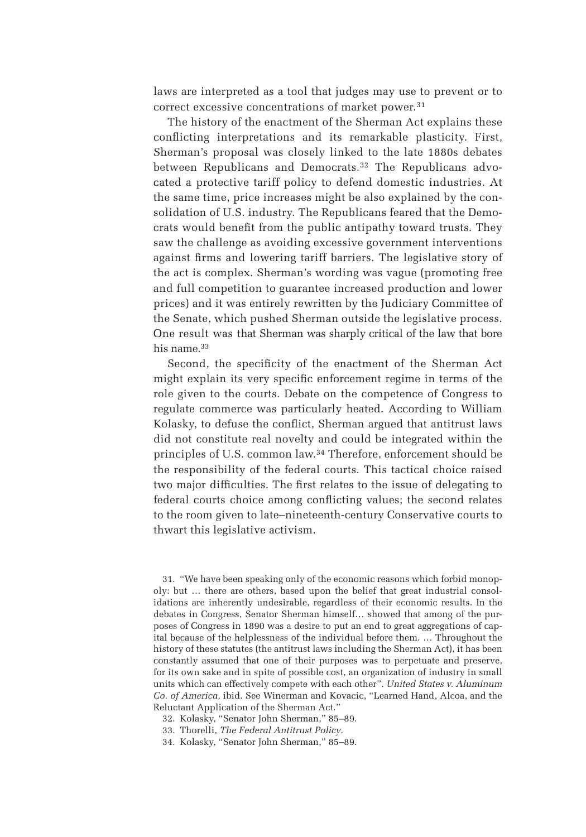laws are interpreted as a tool that judges may use to prevent or to correct excessive concentrations of market power. 31

The history of the enactment of the Sherman Act explains these conflicting interpretations and its remarkable plasticity. First, Sherman's proposal was closely linked to the late 1880s debates between Republicans and Democrats. 32 The Republicans advocated a protective tariff policy to defend domestic industries. At the same time, price increases might be also explained by the consolidation of U.S. industry. The Republicans feared that the Democrats would benefit from the public antipathy toward trusts. They saw the challenge as avoiding excessive government interventions against firms and lowering tariff barriers. The legislative story of the act is complex. Sherman's wording was vague (promoting free and full competition to guarantee increased production and lower prices) and it was entirely rewritten by the Judiciary Committee of the Senate, which pushed Sherman outside the legislative process. One result was that Sherman was sharply critical of the law that bore his name.<sup>33</sup>

Second, the specificity of the enactment of the Sherman Act might explain its very specific enforcement regime in terms of the role given to the courts. Debate on the competence of Congress to regulate commerce was particularly heated. According to William Kolasky, to defuse the conflict, Sherman argued that antitrust laws did not constitute real novelty and could be integrated within the principles of U.S. common law. 34 Therefore, enforcement should be the responsibility of the federal courts. This tactical choice raised two major difficulties. The first relates to the issue of delegating to federal courts choice among conflicting values; the second relates to the room given to late–nineteenth-century Conservative courts to thwart this legislative activism.

 31. "We have been speaking only of the economic reasons which forbid monopoly: but … there are others, based upon the belief that great industrial consolidations are inherently undesirable, regardless of their economic results. In the debates in Congress, Senator Sherman himself… showed that among of the purposes of Congress in 1890 was a desire to put an end to great aggregations of capital because of the helplessness of the individual before them. … Throughout the history of these statutes (the antitrust laws including the Sherman Act), it has been constantly assumed that one of their purposes was to perpetuate and preserve, for its own sake and in spite of possible cost, an organization of industry in small units which can effectively compete with each other". *United States v. Aluminum Co. of America*, ibid. See Winerman and Kovacic, "Learned Hand, Alcoa, and the Reluctant Application of the Sherman Act."

32. Kolasky, "Senator John Sherman," 85–89.

33. Thorelli, *The Federal Antitrust Policy* .

34. Kolasky, "Senator John Sherman," 85–89.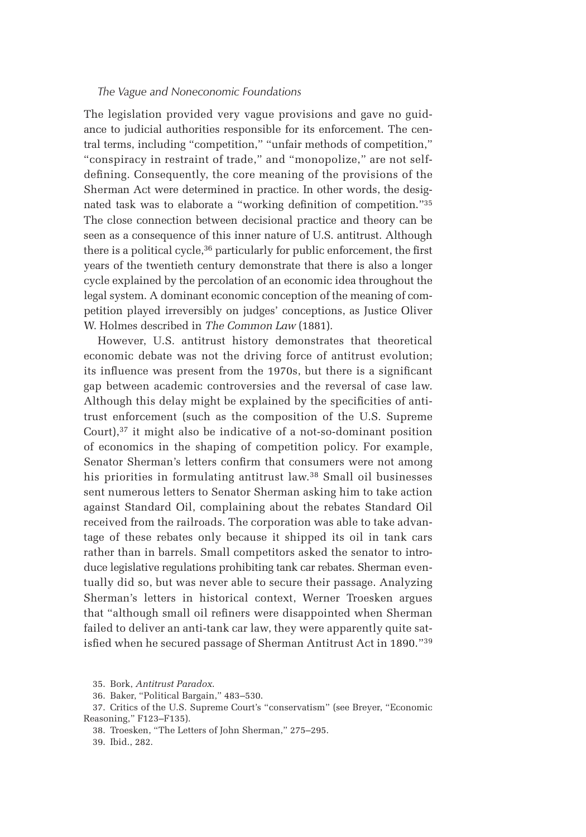#### *The Vague and Noneconomic Foundations*

The legislation provided very vague provisions and gave no guidance to judicial authorities responsible for its enforcement. The central terms, including "competition," "unfair methods of competition," "conspiracy in restraint of trade," and "monopolize," are not selfdefining. Consequently, the core meaning of the provisions of the Sherman Act were determined in practice. In other words, the designated task was to elaborate a "working definition of competition."<sup>35</sup> The close connection between decisional practice and theory can be seen as a consequence of this inner nature of U.S. antitrust. Although there is a political cycle,  $36$  particularly for public enforcement, the first years of the twentieth century demonstrate that there is also a longer cycle explained by the percolation of an economic idea throughout the legal system. A dominant economic conception of the meaning of competition played irreversibly on judges' conceptions, as Justice Oliver W. Holmes described in *The Common Law* (1881).

However, U.S. antitrust history demonstrates that theoretical economic debate was not the driving force of antitrust evolution; its influence was present from the 1970s, but there is a significant gap between academic controversies and the reversal of case law. Although this delay might be explained by the specificities of antitrust enforcement (such as the composition of the U.S. Supreme Court), $37$  it might also be indicative of a not-so-dominant position of economics in the shaping of competition policy. For example, Senator Sherman's letters confirm that consumers were not among his priorities in formulating antitrust law.<sup>38</sup> Small oil businesses sent numerous letters to Senator Sherman asking him to take action against Standard Oil, complaining about the rebates Standard Oil received from the railroads. The corporation was able to take advantage of these rebates only because it shipped its oil in tank cars rather than in barrels. Small competitors asked the senator to introduce legislative regulations prohibiting tank car rebates. Sherman eventually did so, but was never able to secure their passage. Analyzing Sherman's letters in historical context, Werner Troesken argues that "although small oil refiners were disappointed when Sherman failed to deliver an anti-tank car law, they were apparently quite satisfied when he secured passage of Sherman Antitrust Act in 1890."<sup>39</sup>

 <sup>35.</sup> Bork, *Antitrust Paradox* .

 <sup>36.</sup> Baker, "Political Bargain," 483–530.

 <sup>37.</sup> Critics of the U.S. Supreme Court's "conservatism" (see Breyer, "Economic Reasoning," F123–F135).

 <sup>38.</sup> Troesken, "The Letters of John Sherman," 275–295.

 <sup>39.</sup> Ibid., 282.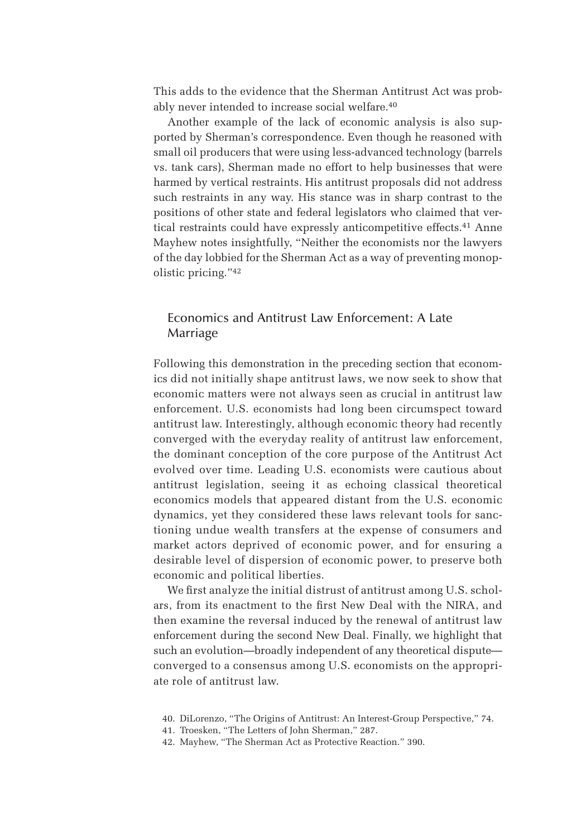This adds to the evidence that the Sherman Antitrust Act was probably never intended to increase social welfare. 40

Another example of the lack of economic analysis is also supported by Sherman's correspondence. Even though he reasoned with small oil producers that were using less-advanced technology (barrels vs. tank cars), Sherman made no effort to help businesses that were harmed by vertical restraints. His antitrust proposals did not address such restraints in any way. His stance was in sharp contrast to the positions of other state and federal legislators who claimed that vertical restraints could have expressly anticompetitive effects. 41 Anne Mayhew notes insightfully, "Neither the economists nor the lawyers of the day lobbied for the Sherman Act as a way of preventing monopolistic pricing."<sup>42</sup>

## Economics and Antitrust Law Enforcement: A Late Marriage

Following this demonstration in the preceding section that economics did not initially shape antitrust laws, we now seek to show that economic matters were not always seen as crucial in antitrust law enforcement. U.S. economists had long been circumspect toward antitrust law. Interestingly, although economic theory had recently converged with the everyday reality of antitrust law enforcement, the dominant conception of the core purpose of the Antitrust Act evolved over time. Leading U.S. economists were cautious about antitrust legislation, seeing it as echoing classical theoretical economics models that appeared distant from the U.S. economic dynamics, yet they considered these laws relevant tools for sanctioning undue wealth transfers at the expense of consumers and market actors deprived of economic power, and for ensuring a desirable level of dispersion of economic power, to preserve both economic and political liberties.

We first analyze the initial distrust of antitrust among U.S. scholars, from its enactment to the first New Deal with the NIRA, and then examine the reversal induced by the renewal of antitrust law enforcement during the second New Deal. Finally, we highlight that such an evolution—broadly independent of any theoretical dispute converged to a consensus among U.S. economists on the appropriate role of antitrust law.

42. Mayhew, "The Sherman Act as Protective Reaction." 390.

 <sup>40.</sup> DiLorenzo, "The Origins of Antitrust: An Interest-Group Perspective," 74.

 <sup>41.</sup> Troesken, "The Letters of John Sherman," 287.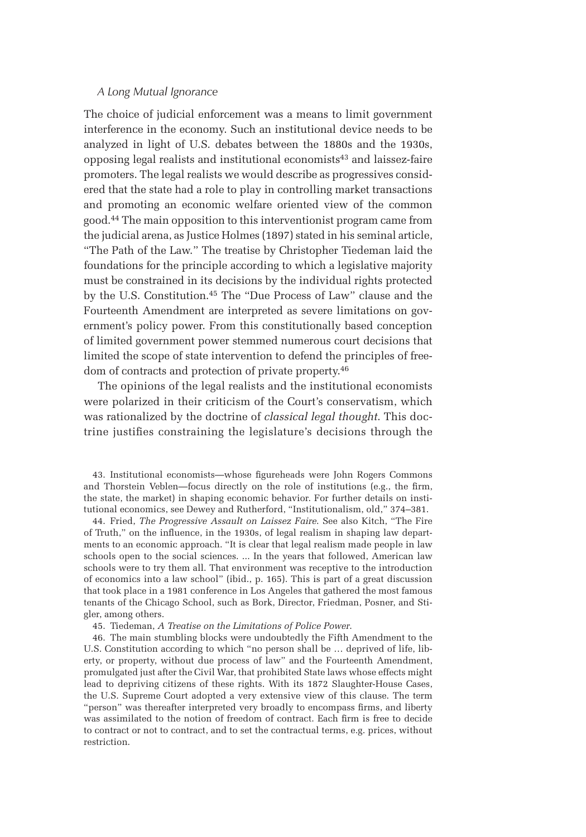#### *A Long Mutual Ignorance*

The choice of judicial enforcement was a means to limit government interference in the economy. Such an institutional device needs to be analyzed in light of U.S. debates between the 1880s and the 1930s, opposing legal realists and institutional economists<sup>43</sup> and laissez-faire promoters. The legal realists we would describe as progressives considered that the state had a role to play in controlling market transactions and promoting an economic welfare oriented view of the common good. 44 The main opposition to this interventionist program came from the judicial arena, as Justice Holmes (1897) stated in his seminal article, "The Path of the Law." The treatise by Christopher Tiedeman laid the foundations for the principle according to which a legislative majority must be constrained in its decisions by the individual rights protected by the U.S. Constitution. 45 The "Due Process of Law" clause and the Fourteenth Amendment are interpreted as severe limitations on government's policy power. From this constitutionally based conception of limited government power stemmed numerous court decisions that limited the scope of state intervention to defend the principles of freedom of contracts and protection of private property.<sup>46</sup>

The opinions of the legal realists and the institutional economists were polarized in their criticism of the Court's conservatism, which was rationalized by the doctrine of *classical legal thought*. This doctrine justifies constraining the legislature's decisions through the

43. Institutional economists—whose figureheads were John Rogers Commons and Thorstein Veblen—focus directly on the role of institutions (e.g., the firm, the state, the market) in shaping economic behavior. For further details on institutional economics, see Dewey and Rutherford, "Institutionalism, old," 374–381.

 44. Fried, *The Progressive Assault on Laissez Faire*. See also Kitch, "The Fire of Truth," on the influence, in the 1930s, of legal realism in shaping law departments to an economic approach. "It is clear that legal realism made people in law schools open to the social sciences. ... In the years that followed, American law schools were to try them all. That environment was receptive to the introduction of economics into a law school" (ibid., p. 165). This is part of a great discussion that took place in a 1981 conference in Los Angeles that gathered the most famous tenants of the Chicago School, such as Bork, Director, Friedman, Posner, and Stigler, among others.

45. Tiedeman, *A Treatise on the Limitations of Police Power* .

 46. The main stumbling blocks were undoubtedly the Fifth Amendment to the U.S. Constitution according to which "no person shall be … deprived of life, liberty, or property, without due process of law" and the Fourteenth Amendment, promulgated just after the Civil War, that prohibited State laws whose effects might lead to depriving citizens of these rights. With its 1872 Slaughter-House Cases, the U.S. Supreme Court adopted a very extensive view of this clause. The term "person" was thereafter interpreted very broadly to encompass firms, and liberty was assimilated to the notion of freedom of contract. Each firm is free to decide to contract or not to contract, and to set the contractual terms, e.g. prices, without restriction.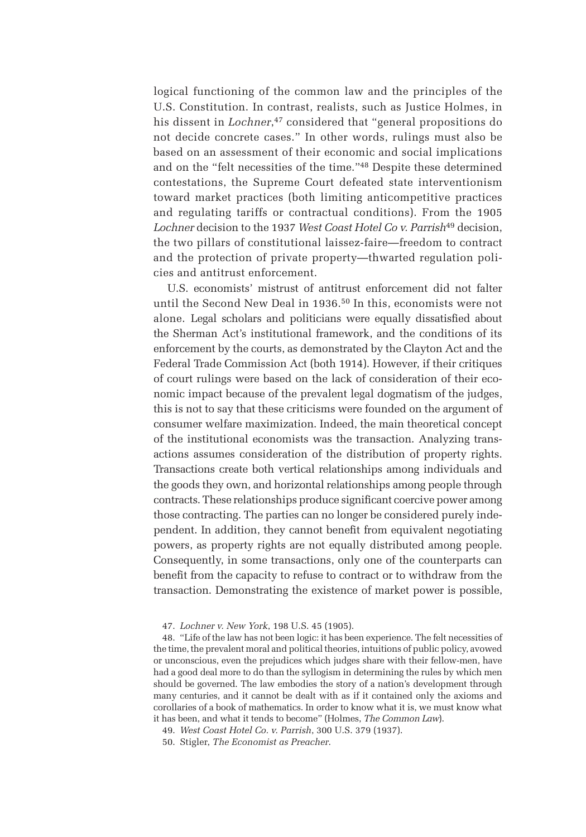logical functioning of the common law and the principles of the U.S. Constitution. In contrast, realists, such as Justice Holmes, in his dissent in *Lochner*, 47 considered that "general propositions do not decide concrete cases." In other words, rulings must also be based on an assessment of their economic and social implications and on the "felt necessities of the time."<sup>48</sup> Despite these determined contestations, the Supreme Court defeated state interventionism toward market practices (both limiting anticompetitive practices and regulating tariffs or contractual conditions). From the 1905 *Lochner* decision to the 1937 *West Coast Hotel Co v. Parrish*49 decision, the two pillars of constitutional laissez-faire—freedom to contract and the protection of private property—thwarted regulation policies and antitrust enforcement.

U.S. economists' mistrust of antitrust enforcement did not falter until the Second New Deal in 1936. 50 In this, economists were not alone. Legal scholars and politicians were equally dissatisfied about the Sherman Act's institutional framework, and the conditions of its enforcement by the courts, as demonstrated by the Clayton Act and the Federal Trade Commission Act (both 1914). However, if their critiques of court rulings were based on the lack of consideration of their economic impact because of the prevalent legal dogmatism of the judges, this is not to say that these criticisms were founded on the argument of consumer welfare maximization. Indeed, the main theoretical concept of the institutional economists was the transaction. Analyzing transactions assumes consideration of the distribution of property rights. Transactions create both vertical relationships among individuals and the goods they own, and horizontal relationships among people through contracts. These relationships produce significant coercive power among those contracting. The parties can no longer be considered purely independent. In addition, they cannot benefit from equivalent negotiating powers, as property rights are not equally distributed among people. Consequently, in some transactions, only one of the counterparts can benefit from the capacity to refuse to contract or to withdraw from the transaction. Demonstrating the existence of market power is possible,

 48. "Life of the law has not been logic: it has been experience. The felt necessities of the time, the prevalent moral and political theories, intuitions of public policy, avowed or unconscious, even the prejudices which judges share with their fellow-men, have had a good deal more to do than the syllogism in determining the rules by which men should be governed. The law embodies the story of a nation's development through many centuries, and it cannot be dealt with as if it contained only the axioms and corollaries of a book of mathematics. In order to know what it is, we must know what it has been, and what it tends to become" (Holmes, *The Common Law*).

49. *West Coast Hotel Co. v. Parrish* , 300 U.S. 379 (1937).

50. Stigler, *The Economist as Preacher* .

 <sup>47.</sup> *Lochner v. New York* , 198 U.S. 45 (1905).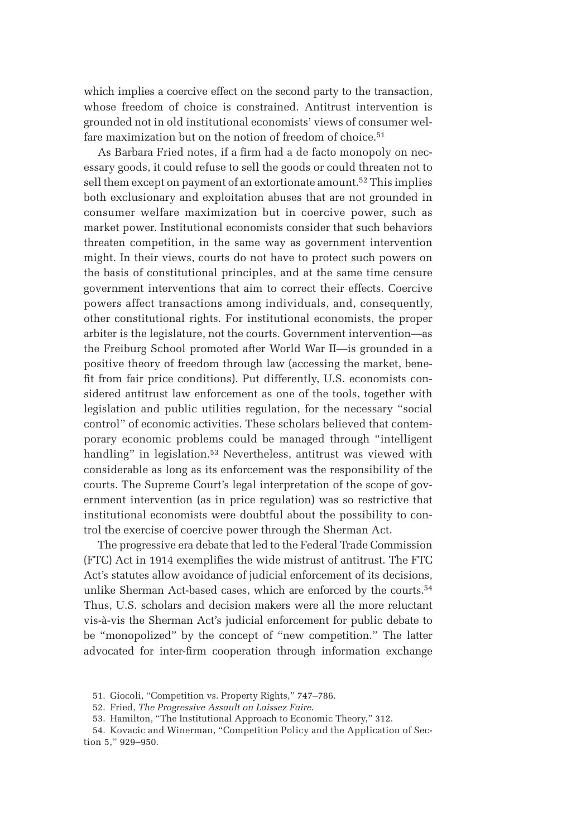which implies a coercive effect on the second party to the transaction, whose freedom of choice is constrained. Antitrust intervention is grounded not in old institutional economists' views of consumer welfare maximization but on the notion of freedom of choice.<sup>51</sup>

As Barbara Fried notes, if a firm had a de facto monopoly on necessary goods, it could refuse to sell the goods or could threaten not to sell them except on payment of an extortionate amount.<sup>52</sup> This implies both exclusionary and exploitation abuses that are not grounded in consumer welfare maximization but in coercive power, such as market power. Institutional economists consider that such behaviors threaten competition, in the same way as government intervention might. In their views, courts do not have to protect such powers on the basis of constitutional principles, and at the same time censure government interventions that aim to correct their effects. Coercive powers affect transactions among individuals, and, consequently, other constitutional rights. For institutional economists, the proper arbiter is the legislature, not the courts. Government intervention—as the Freiburg School promoted after World War II—is grounded in a positive theory of freedom through law (accessing the market, benefit from fair price conditions). Put differently, U.S. economists considered antitrust law enforcement as one of the tools, together with legislation and public utilities regulation, for the necessary "social control" of economic activities. These scholars believed that contemporary economic problems could be managed through "intelligent handling" in legislation.<sup>53</sup> Nevertheless, antitrust was viewed with considerable as long as its enforcement was the responsibility of the courts. The Supreme Court's legal interpretation of the scope of government intervention (as in price regulation) was so restrictive that institutional economists were doubtful about the possibility to control the exercise of coercive power through the Sherman Act.

The progressive era debate that led to the Federal Trade Commission (FTC) Act in 1914 exemplifies the wide mistrust of antitrust. The FTC Act's statutes allow avoidance of judicial enforcement of its decisions, unlike Sherman Act-based cases, which are enforced by the courts.<sup>54</sup> Thus, U.S. scholars and decision makers were all the more reluctant vis-à-vis the Sherman Act's judicial enforcement for public debate to be "monopolized" by the concept of "new competition." The latter advocated for inter-firm cooperation through information exchange

51. Giocoli, "Competition vs. Property Rights," 747–786.

52. Fried, *The Progressive Assault on Laissez Faire* .

53. Hamilton, "The Institutional Approach to Economic Theory," 312.

 54. Kovacic and Winerman, "Competition Policy and the Application of Section 5," 929–950.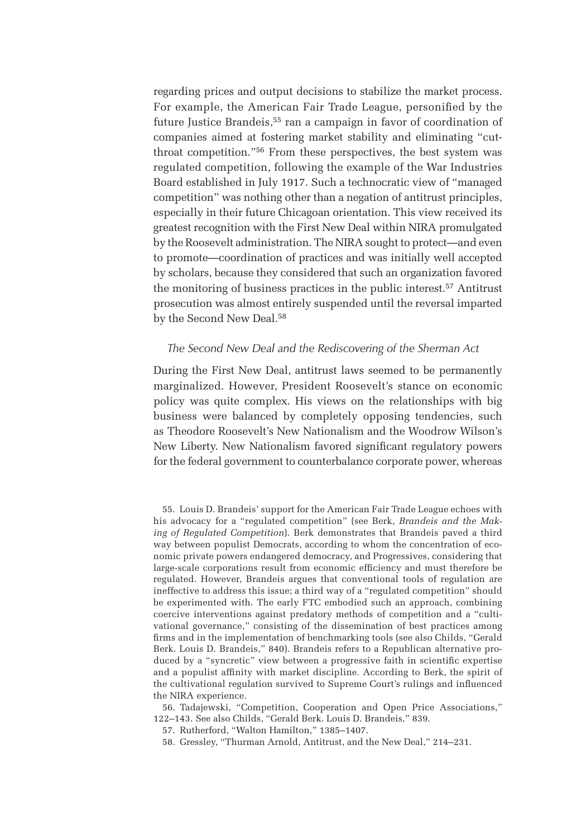regarding prices and output decisions to stabilize the market process. For example, the American Fair Trade League, personified by the future Justice Brandeis, 55 ran a campaign in favor of coordination of companies aimed at fostering market stability and eliminating "cutthroat competition."<sup>56</sup> From these perspectives, the best system was regulated competition, following the example of the War Industries Board established in July 1917. Such a technocratic view of "managed competition" was nothing other than a negation of antitrust principles, especially in their future Chicagoan orientation. This view received its greatest recognition with the First New Deal within NIRA promulgated by the Roosevelt administration. The NIRA sought to protect—and even to promote—coordination of practices and was initially well accepted by scholars, because they considered that such an organization favored the monitoring of business practices in the public interest. 57 Antitrust prosecution was almost entirely suspended until the reversal imparted by the Second New Deal.<sup>58</sup>

#### *The Second New Deal and the Rediscovering of the Sherman Act*

During the First New Deal, antitrust laws seemed to be permanently marginalized. However, President Roosevelt's stance on economic policy was quite complex. His views on the relationships with big business were balanced by completely opposing tendencies, such as Theodore Roosevelt's New Nationalism and the Woodrow Wilson's New Liberty. New Nationalism favored significant regulatory powers for the federal government to counterbalance corporate power, whereas

 56. Tadajewski, "Competition, Cooperation and Open Price Associations," 122–143. See also Childs, "Gerald Berk. Louis D. Brandeis," 839.

57. Rutherford, "Walton Hamilton," 1385–1407.

58. Gressley, "Thurman Arnold, Antitrust, and the New Deal," 214–231.

<sup>55.</sup> Louis D. Brandeis' support for the American Fair Trade League echoes with his advocacy for a "regulated competition" (see Berk, *Brandeis and the Making of Regulated Competition*). Berk demonstrates that Brandeis paved a third way between populist Democrats, according to whom the concentration of economic private powers endangered democracy, and Progressives, considering that large-scale corporations result from economic efficiency and must therefore be regulated. However, Brandeis argues that conventional tools of regulation are ineffective to address this issue; a third way of a "regulated competition" should be experimented with. The early FTC embodied such an approach, combining coercive interventions against predatory methods of competition and a "cultivational governance," consisting of the dissemination of best practices among firms and in the implementation of benchmarking tools (see also Childs, "Gerald Berk. Louis D. Brandeis," 840). Brandeis refers to a Republican alternative produced by a "syncretic" view between a progressive faith in scientific expertise and a populist affinity with market discipline. According to Berk, the spirit of the cultivational regulation survived to Supreme Court's rulings and influenced the NIRA experience.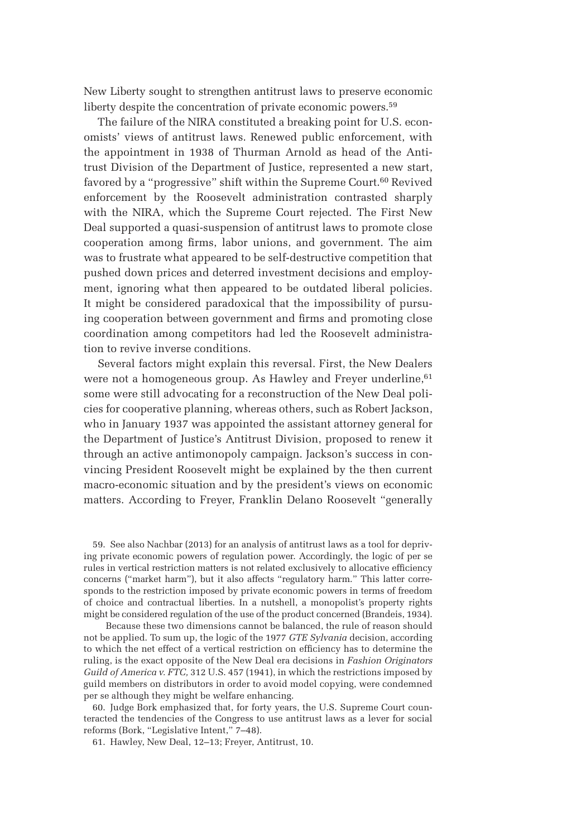New Liberty sought to strengthen antitrust laws to preserve economic liberty despite the concentration of private economic powers.<sup>59</sup>

The failure of the NIRA constituted a breaking point for U.S. economists' views of antitrust laws. Renewed public enforcement, with the appointment in 1938 of Thurman Arnold as head of the Antitrust Division of the Department of Justice, represented a new start, favored by a "progressive" shift within the Supreme Court. 60 Revived enforcement by the Roosevelt administration contrasted sharply with the NIRA, which the Supreme Court rejected. The First New Deal supported a quasi-suspension of antitrust laws to promote close cooperation among firms, labor unions, and government. The aim was to frustrate what appeared to be self-destructive competition that pushed down prices and deterred investment decisions and employment, ignoring what then appeared to be outdated liberal policies. It might be considered paradoxical that the impossibility of pursuing cooperation between government and firms and promoting close coordination among competitors had led the Roosevelt administration to revive inverse conditions.

Several factors might explain this reversal. First, the New Dealers were not a homogeneous group. As Hawley and Freyer underline, 61 some were still advocating for a reconstruction of the New Deal policies for cooperative planning, whereas others, such as Robert Jackson, who in January 1937 was appointed the assistant attorney general for the Department of Justice's Antitrust Division, proposed to renew it through an active antimonopoly campaign. Jackson's success in convincing President Roosevelt might be explained by the then current macro-economic situation and by the president's views on economic matters. According to Freyer, Franklin Delano Roosevelt "generally

 59. See also Nachbar (2013) for an analysis of antitrust laws as a tool for depriving private economic powers of regulation power. Accordingly, the logic of per se rules in vertical restriction matters is not related exclusively to allocative efficiency concerns ("market harm"), but it also affects "regulatory harm." This latter corresponds to the restriction imposed by private economic powers in terms of freedom of choice and contractual liberties. In a nutshell, a monopolist's property rights might be considered regulation of the use of the product concerned (Brandeis, 1934).

Because these two dimensions cannot be balanced, the rule of reason should not be applied. To sum up, the logic of the 1977 *GTE Sylvania* decision, according to which the net effect of a vertical restriction on efficiency has to determine the ruling, is the exact opposite of the New Deal era decisions in *Fashion Originators Guild of America v. FTC,* 312 U.S. 457 (1941), in which the restrictions imposed by guild members on distributors in order to avoid model copying, were condemned per se although they might be welfare enhancing.

 60. Judge Bork emphasized that, for forty years, the U.S. Supreme Court counteracted the tendencies of the Congress to use antitrust laws as a lever for social reforms (Bork, "Legislative Intent," 7–48).

61. Hawley, New Deal, 12–13; Freyer, Antitrust, 10.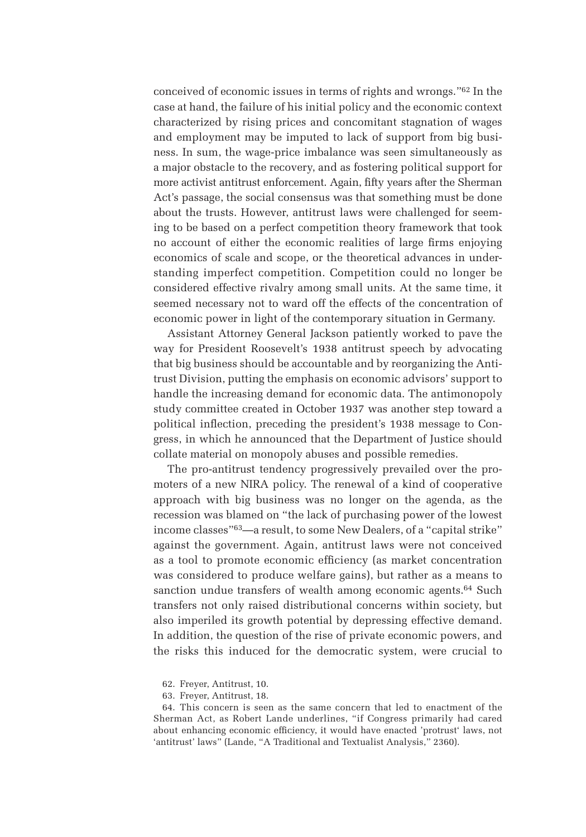conceived of economic issues in terms of rights and wrongs."<sup>62</sup> In the case at hand, the failure of his initial policy and the economic context characterized by rising prices and concomitant stagnation of wages and employment may be imputed to lack of support from big business. In sum, the wage-price imbalance was seen simultaneously as a major obstacle to the recovery, and as fostering political support for more activist antitrust enforcement. Again, fifty years after the Sherman Act's passage, the social consensus was that something must be done about the trusts. However, antitrust laws were challenged for seeming to be based on a perfect competition theory framework that took no account of either the economic realities of large firms enjoying economics of scale and scope, or the theoretical advances in understanding imperfect competition. Competition could no longer be considered effective rivalry among small units. At the same time, it seemed necessary not to ward off the effects of the concentration of economic power in light of the contemporary situation in Germany.

Assistant Attorney General Jackson patiently worked to pave the way for President Roosevelt's 1938 antitrust speech by advocating that big business should be accountable and by reorganizing the Antitrust Division, putting the emphasis on economic advisors' support to handle the increasing demand for economic data. The antimonopoly study committee created in October 1937 was another step toward a political inflection, preceding the president's 1938 message to Congress, in which he announced that the Department of Justice should collate material on monopoly abuses and possible remedies.

The pro-antitrust tendency progressively prevailed over the promoters of a new NIRA policy. The renewal of a kind of cooperative approach with big business was no longer on the agenda, as the recession was blamed on "the lack of purchasing power of the lowest income classes"<sup>63</sup>—a result, to some New Dealers, of a "capital strike" against the government. Again, antitrust laws were not conceived as a tool to promote economic efficiency (as market concentration was considered to produce welfare gains), but rather as a means to sanction undue transfers of wealth among economic agents.<sup>64</sup> Such transfers not only raised distributional concerns within society, but also imperiled its growth potential by depressing effective demand. In addition, the question of the rise of private economic powers, and the risks this induced for the democratic system, were crucial to

 <sup>62.</sup> Freyer, Antitrust, 10.

 <sup>63.</sup> Freyer, Antitrust, 18.

 <sup>64.</sup> This concern is seen as the same concern that led to enactment of the Sherman Act, as Robert Lande underlines, "if Congress primarily had cared about enhancing economic efficiency, it would have enacted 'protrust' laws, not 'antitrust' laws" (Lande, "A Traditional and Textualist Analysis," 2360).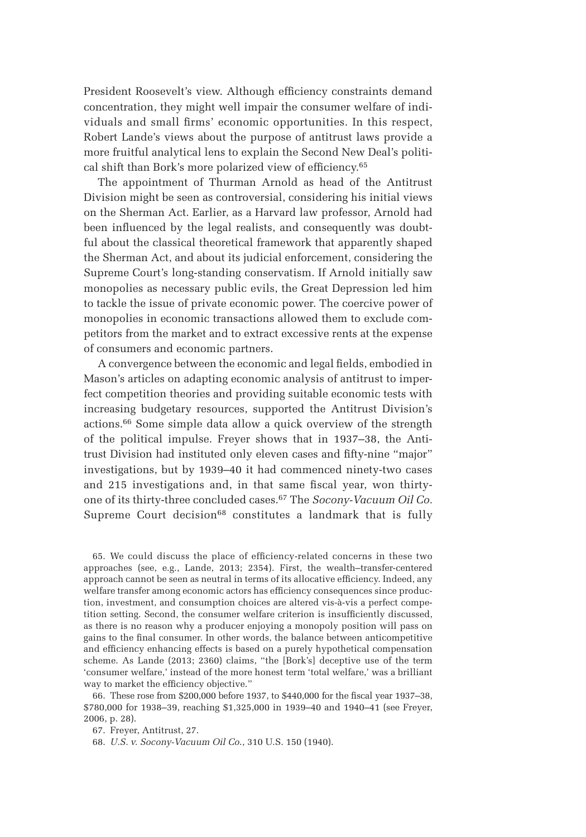President Roosevelt's view. Although efficiency constraints demand concentration, they might well impair the consumer welfare of individuals and small firms' economic opportunities. In this respect, Robert Lande's views about the purpose of antitrust laws provide a more fruitful analytical lens to explain the Second New Deal's political shift than Bork's more polarized view of efficiency.<sup>65</sup>

The appointment of Thurman Arnold as head of the Antitrust Division might be seen as controversial, considering his initial views on the Sherman Act. Earlier, as a Harvard law professor, Arnold had been influenced by the legal realists, and consequently was doubtful about the classical theoretical framework that apparently shaped the Sherman Act, and about its judicial enforcement, considering the Supreme Court's long-standing conservatism. If Arnold initially saw monopolies as necessary public evils, the Great Depression led him to tackle the issue of private economic power. The coercive power of monopolies in economic transactions allowed them to exclude competitors from the market and to extract excessive rents at the expense of consumers and economic partners.

A convergence between the economic and legal fields, embodied in Mason's articles on adapting economic analysis of antitrust to imperfect competition theories and providing suitable economic tests with increasing budgetary resources, supported the Antitrust Division's actions. 66 Some simple data allow a quick overview of the strength of the political impulse. Freyer shows that in 1937–38, the Antitrust Division had instituted only eleven cases and fifty-nine "major" investigations, but by 1939–40 it had commenced ninety-two cases and 215 investigations and, in that same fiscal year, won thirtyone of its thirty-three concluded cases. 67 The *Socony-Vacuum Oil Co.* Supreme Court decision<sup>68</sup> constitutes a landmark that is fully

65. We could discuss the place of efficiency-related concerns in these two approaches (see, e.g., Lande, 2013; 2354). First, the wealth–transfer-centered approach cannot be seen as neutral in terms of its allocative efficiency. Indeed, any welfare transfer among economic actors has efficiency consequences since production, investment, and consumption choices are altered vis-à-vis a perfect competition setting. Second, the consumer welfare criterion is insufficiently discussed, as there is no reason why a producer enjoying a monopoly position will pass on gains to the final consumer. In other words, the balance between anticompetitive and efficiency enhancing effects is based on a purely hypothetical compensation scheme. As Lande (2013; 2360) claims, "the [Bork's] deceptive use of the term 'consumer welfare,' instead of the more honest term 'total welfare,' was a brilliant way to market the efficiency objective."

66. These rose from \$200,000 before 1937, to \$440,000 for the fiscal year 1937-38, \$780,000 for 1938–39, reaching \$1,325,000 in 1939–40 and 1940–41 (see Freyer, 2006, p. 28).

67. Freyer, Antitrust, 27.

68. *U.S. v. Socony-Vacuum Oil Co* ., 310 U.S. 150 (1940).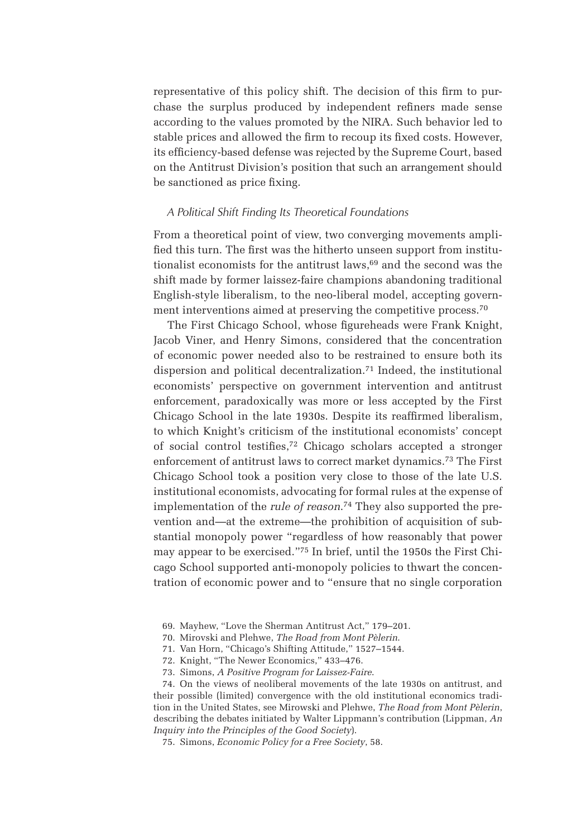representative of this policy shift. The decision of this firm to purchase the surplus produced by independent refiners made sense according to the values promoted by the NIRA. Such behavior led to stable prices and allowed the firm to recoup its fixed costs. However, its efficiency-based defense was rejected by the Supreme Court, based on the Antitrust Division's position that such an arrangement should be sanctioned as price fixing.

#### *A Political Shift Finding Its Theoretical Foundations*

From a theoretical point of view, two converging movements amplified this turn. The first was the hitherto unseen support from institutionalist economists for the antitrust laws,<sup>69</sup> and the second was the shift made by former laissez-faire champions abandoning traditional English-style liberalism, to the neo-liberal model, accepting government interventions aimed at preserving the competitive process.<sup>70</sup>

The First Chicago School, whose figureheads were Frank Knight, Jacob Viner, and Henry Simons, considered that the concentration of economic power needed also to be restrained to ensure both its dispersion and political decentralization.<sup>71</sup> Indeed, the institutional economists' perspective on government intervention and antitrust enforcement, paradoxically was more or less accepted by the First Chicago School in the late 1930s. Despite its reaffirmed liberalism, to which Knight's criticism of the institutional economists' concept of social control testifies,<sup>72</sup> Chicago scholars accepted a stronger enforcement of antitrust laws to correct market dynamics. 73 The First Chicago School took a position very close to those of the late U.S. institutional economists, advocating for formal rules at the expense of implementation of the *rule of reason*.<sup>74</sup> They also supported the prevention and—at the extreme—the prohibition of acquisition of substantial monopoly power "regardless of how reasonably that power may appear to be exercised." 75 In brief, until the 1950s the First Chicago School supported anti-monopoly policies to thwart the concentration of economic power and to "ensure that no single corporation

 74. On the views of neoliberal movements of the late 1930s on antitrust, and their possible (limited) convergence with the old institutional economics tradition in the United States, see Mirowski and Plehwe, *The Road from Mont Pèlerin* , describing the debates initiated by Walter Lippmann's contribution (Lippman, *An*  Inquiry into the Principles of the Good Society).

75. Simons, *Economic Policy for a Free Society* , 58.

 <sup>69.</sup> Mayhew, "Love the Sherman Antitrust Act," 179–201.

 <sup>70.</sup> Mirovski and Plehwe, *The Road from Mont Pèlerin* .

 <sup>71.</sup> Van Horn, "Chicago's Shifting Attitude," 1527–1544.

 <sup>72.</sup> Knight, "The Newer Economics," 433–476.

 <sup>73.</sup> Simons, *A Positive Program for Laissez-Faire* .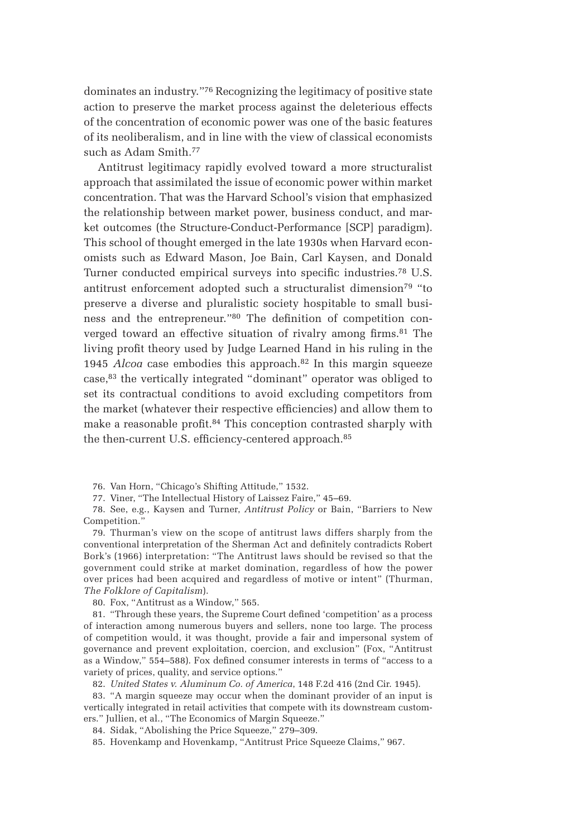dominates an industry."<sup>76</sup> Recognizing the legitimacy of positive state action to preserve the market process against the deleterious effects of the concentration of economic power was one of the basic features of its neoliberalism, and in line with the view of classical economists such as Adam Smith. 77

Antitrust legitimacy rapidly evolved toward a more structuralist approach that assimilated the issue of economic power within market concentration. That was the Harvard School's vision that emphasized the relationship between market power, business conduct, and market outcomes (the Structure-Conduct-Performance [SCP] paradigm). This school of thought emerged in the late 1930s when Harvard economists such as Edward Mason, Joe Bain, Carl Kaysen, and Donald Turner conducted empirical surveys into specific industries.<sup>78</sup> U.S. antitrust enforcement adopted such a structuralist dimension<sup>79</sup> "to preserve a diverse and pluralistic society hospitable to small business and the entrepreneur."<sup>80</sup> The definition of competition converged toward an effective situation of rivalry among firms.<sup>81</sup> The living profit theory used by Judge Learned Hand in his ruling in the 1945 *Alcoa* case embodies this approach. 82 In this margin squeeze case, 83 the vertically integrated "dominant" operator was obliged to set its contractual conditions to avoid excluding competitors from the market (whatever their respective efficiencies) and allow them to make a reasonable profit.<sup>84</sup> This conception contrasted sharply with the then-current U.S. efficiency-centered approach.<sup>85</sup>

76. Van Horn, "Chicago's Shifting Attitude," 1532.

77. Viner, "The Intellectual History of Laissez Faire," 45–69.

 78. See, e.g., Kaysen and Turner, *Antitrust Policy* or Bain, "Barriers to New Competition."

 79. Thurman's view on the scope of antitrust laws differs sharply from the conventional interpretation of the Sherman Act and definitely contradicts Robert Bork's (1966) interpretation: "The Antitrust laws should be revised so that the government could strike at market domination, regardless of how the power over prices had been acquired and regardless of motive or intent" (Thurman, *The Folklore of Capitalism*).

80. Fox, "Antitrust as a Window," 565.

81. "Through these years, the Supreme Court defined 'competition' as a process of interaction among numerous buyers and sellers, none too large. The process of competition would, it was thought, provide a fair and impersonal system of governance and prevent exploitation, coercion, and exclusion" (Fox, "Antitrust as a Window," 554-588). Fox defined consumer interests in terms of "access to a variety of prices, quality, and service options."

82. *United States v. Aluminum Co. of America* , 148 F.2d 416 (2nd Cir. 1945).

 83. "A margin squeeze may occur when the dominant provider of an input is vertically integrated in retail activities that compete with its downstream customers." Jullien, et al., "The Economics of Margin Squeeze."

84. Sidak, "Abolishing the Price Squeeze," 279–309.

85. Hovenkamp and Hovenkamp, "Antitrust Price Squeeze Claims," 967.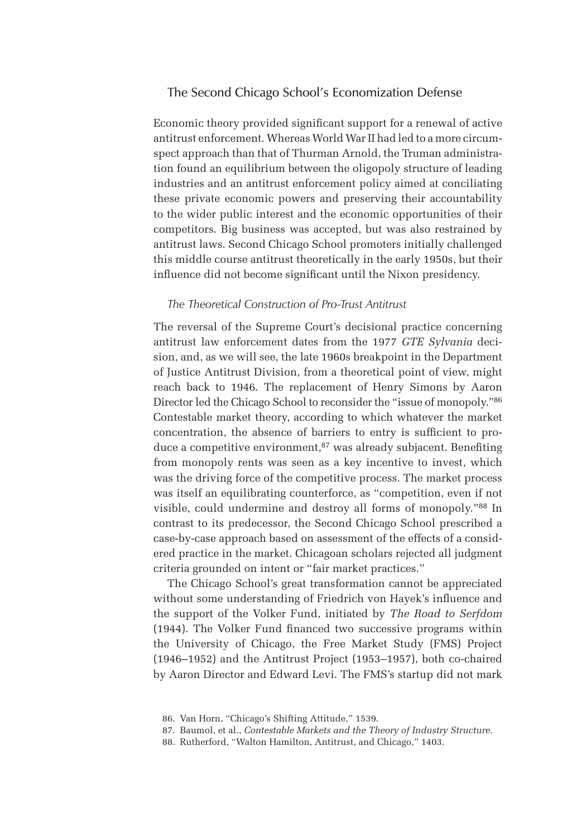### The Second Chicago School's Economization Defense

Economic theory provided significant support for a renewal of active antitrust enforcement. Whereas World War II had led to a more circumspect approach than that of Thurman Arnold, the Truman administration found an equilibrium between the oligopoly structure of leading industries and an antitrust enforcement policy aimed at conciliating these private economic powers and preserving their accountability to the wider public interest and the economic opportunities of their competitors. Big business was accepted, but was also restrained by antitrust laws. Second Chicago School promoters initially challenged this middle course antitrust theoretically in the early 1950s, but their influence did not become significant until the Nixon presidency.

#### *The Theoretical Construction of Pro-Trust Antitrust*

The reversal of the Supreme Court's decisional practice concerning antitrust law enforcement dates from the 1977 *GTE Sylvania* decision, and, as we will see, the late 1960s breakpoint in the Department of Justice Antitrust Division, from a theoretical point of view, might reach back to 1946. The replacement of Henry Simons by Aaron Director led the Chicago School to reconsider the "issue of monopoly."<sup>86</sup> Contestable market theory, according to which whatever the market concentration, the absence of barriers to entry is sufficient to produce a competitive environment,<sup>87</sup> was already subjacent. Benefiting from monopoly rents was seen as a key incentive to invest, which was the driving force of the competitive process. The market process was itself an equilibrating counterforce, as "competition, even if not visible, could undermine and destroy all forms of monopoly."88 In contrast to its predecessor, the Second Chicago School prescribed a case-by-case approach based on assessment of the effects of a considered practice in the market. Chicagoan scholars rejected all judgment criteria grounded on intent or "fair market practices."

The Chicago School's great transformation cannot be appreciated without some understanding of Friedrich von Hayek's influence and the support of the Volker Fund, initiated by *The Road to Serfdom* (1944). The Volker Fund financed two successive programs within the University of Chicago, the Free Market Study (FMS) Project (1946–1952) and the Antitrust Project (1953–1957), both co-chaired by Aaron Director and Edward Levi. The FMS's startup did not mark

 <sup>86.</sup> Van Horn, "Chicago's Shifting Attitude," 1539.

 <sup>87.</sup> Baumol, et al., *Contestable Markets and the Theory of Industry Structure* .

 <sup>88.</sup> Rutherford, "Walton Hamilton, Antitrust, and Chicago," 1403.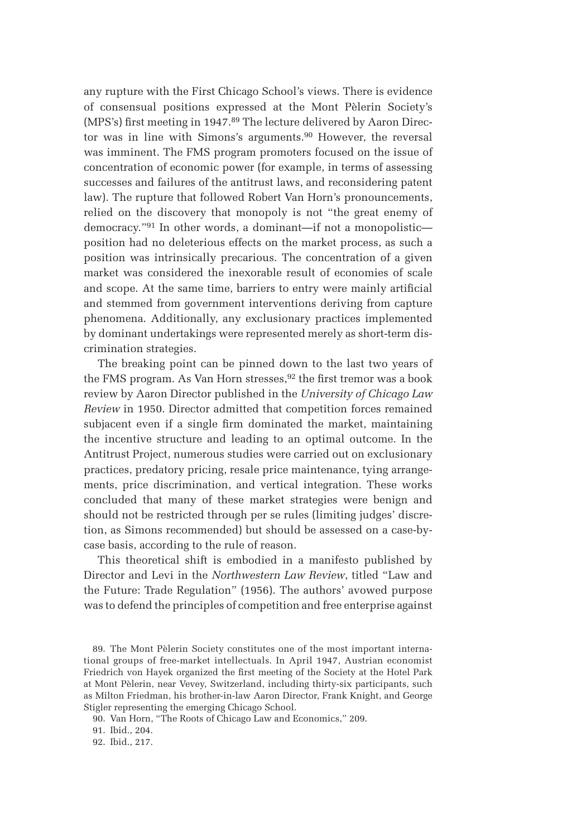any rupture with the First Chicago School's views. There is evidence of consensual positions expressed at the Mont Pèlerin Society's (MPS's) first meeting in 1947.<sup>89</sup> The lecture delivered by Aaron Director was in line with Simons's arguments.<sup>90</sup> However, the reversal was imminent. The FMS program promoters focused on the issue of concentration of economic power (for example, in terms of assessing successes and failures of the antitrust laws, and reconsidering patent law). The rupture that followed Robert Van Horn's pronouncements, relied on the discovery that monopoly is not "the great enemy of democracy."<sup>91</sup> In other words, a dominant—if not a monopolistic position had no deleterious effects on the market process, as such a position was intrinsically precarious. The concentration of a given market was considered the inexorable result of economies of scale and scope. At the same time, barriers to entry were mainly artificial and stemmed from government interventions deriving from capture phenomena. Additionally, any exclusionary practices implemented by dominant undertakings were represented merely as short-term discrimination strategies.

The breaking point can be pinned down to the last two years of the FMS program. As Van Horn stresses,<sup>92</sup> the first tremor was a book review by Aaron Director published in the *University of Chicago Law Review* in 1950. Director admitted that competition forces remained subjacent even if a single firm dominated the market, maintaining the incentive structure and leading to an optimal outcome. In the Antitrust Project, numerous studies were carried out on exclusionary practices, predatory pricing, resale price maintenance, tying arrangements, price discrimination, and vertical integration. These works concluded that many of these market strategies were benign and should not be restricted through per se rules (limiting judges' discretion, as Simons recommended) but should be assessed on a case-bycase basis, according to the rule of reason.

This theoretical shift is embodied in a manifesto published by Director and Levi in the *Northwestern Law Review*, titled "Law and the Future: Trade Regulation" (1956). The authors' avowed purpose was to defend the principles of competition and free enterprise against

 <sup>89.</sup> The Mont Pèlerin Society constitutes one of the most important international groups of free-market intellectuals. In April 1947, Austrian economist Friedrich von Hayek organized the first meeting of the Society at the Hotel Park at Mont Pèlerin, near Vevey, Switzerland, including thirty-six participants, such as Milton Friedman, his brother-in-law Aaron Director, Frank Knight, and George Stigler representing the emerging Chicago School.

 <sup>90.</sup> Van Horn, "The Roots of Chicago Law and Economics," 209.

 <sup>91.</sup> Ibid., 204.

 <sup>92.</sup> Ibid., 217.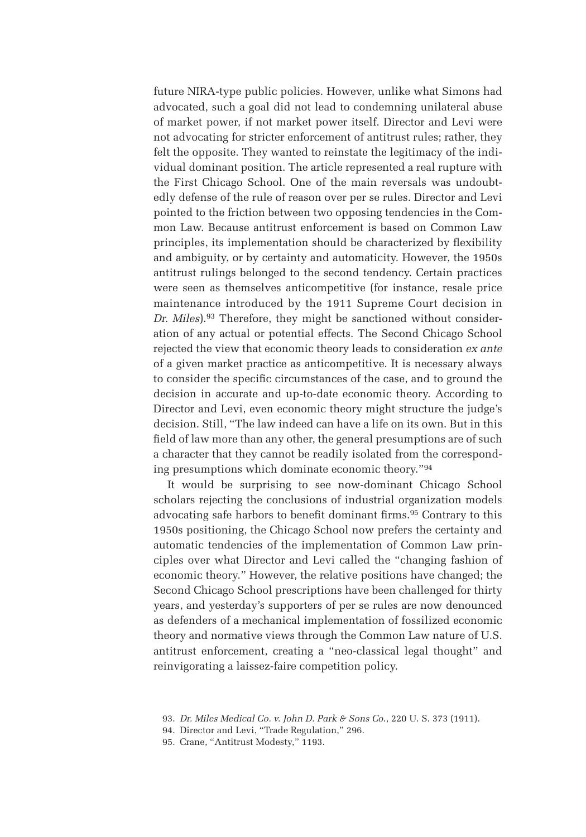future NIRA-type public policies. However, unlike what Simons had advocated, such a goal did not lead to condemning unilateral abuse of market power, if not market power itself. Director and Levi were not advocating for stricter enforcement of antitrust rules; rather, they felt the opposite. They wanted to reinstate the legitimacy of the individual dominant position. The article represented a real rupture with the First Chicago School. One of the main reversals was undoubtedly defense of the rule of reason over per se rules. Director and Levi pointed to the friction between two opposing tendencies in the Common Law. Because antitrust enforcement is based on Common Law principles, its implementation should be characterized by flexibility and ambiguity, or by certainty and automaticity. However, the 1950s antitrust rulings belonged to the second tendency. Certain practices were seen as themselves anticompetitive (for instance, resale price maintenance introduced by the 1911 Supreme Court decision in *Dr. Miles*).<sup>93</sup> Therefore, they might be sanctioned without consideration of any actual or potential effects. The Second Chicago School rejected the view that economic theory leads to consideration *ex ante* of a given market practice as anticompetitive. It is necessary always to consider the specific circumstances of the case, and to ground the decision in accurate and up-to-date economic theory. According to Director and Levi, even economic theory might structure the judge's decision. Still, "The law indeed can have a life on its own. But in this field of law more than any other, the general presumptions are of such a character that they cannot be readily isolated from the corresponding presumptions which dominate economic theory." 94

It would be surprising to see now-dominant Chicago School scholars rejecting the conclusions of industrial organization models advocating safe harbors to benefit dominant firms.<sup>95</sup> Contrary to this 1950s positioning, the Chicago School now prefers the certainty and automatic tendencies of the implementation of Common Law principles over what Director and Levi called the "changing fashion of economic theory." However, the relative positions have changed; the Second Chicago School prescriptions have been challenged for thirty years, and yesterday's supporters of per se rules are now denounced as defenders of a mechanical implementation of fossilized economic theory and normative views through the Common Law nature of U.S. antitrust enforcement, creating a "neo-classical legal thought" and reinvigorating a laissez-faire competition policy.

95. Crane, "Antitrust Modesty," 1193.

 <sup>93.</sup> *Dr. Miles Medical Co. v. John D. Park & Sons Co* ., 220 U. S. 373 (1911).

 <sup>94.</sup> Director and Levi, "Trade Regulation," 296.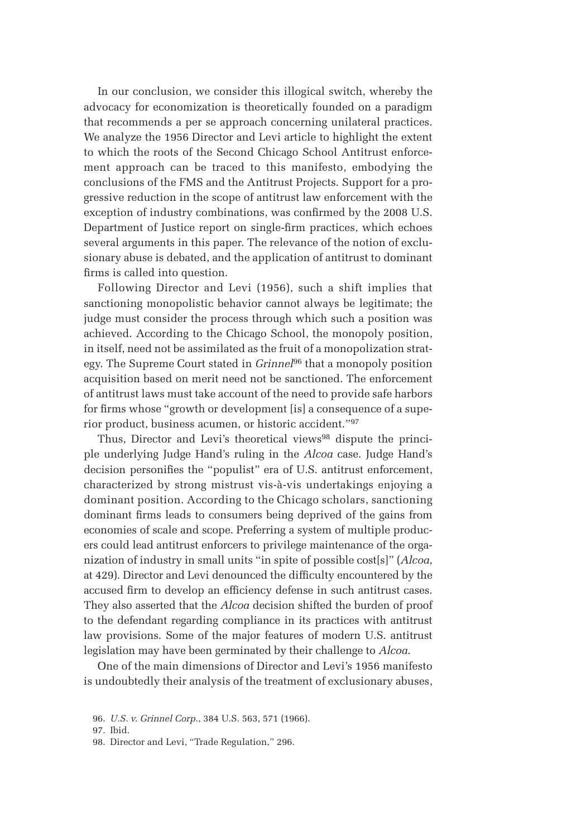In our conclusion, we consider this illogical switch, whereby the advocacy for economization is theoretically founded on a paradigm that recommends a per se approach concerning unilateral practices. We analyze the 1956 Director and Levi article to highlight the extent to which the roots of the Second Chicago School Antitrust enforcement approach can be traced to this manifesto, embodying the conclusions of the FMS and the Antitrust Projects. Support for a progressive reduction in the scope of antitrust law enforcement with the exception of industry combinations, was confirmed by the 2008 U.S. Department of Justice report on single-firm practices, which echoes several arguments in this paper. The relevance of the notion of exclusionary abuse is debated, and the application of antitrust to dominant firms is called into question.

Following Director and Levi (1956), such a shift implies that sanctioning monopolistic behavior cannot always be legitimate; the judge must consider the process through which such a position was achieved. According to the Chicago School, the monopoly position, in itself, need not be assimilated as the fruit of a monopolization strategy. The Supreme Court stated in *Grinnel*<sup>96</sup> that a monopoly position acquisition based on merit need not be sanctioned. The enforcement of antitrust laws must take account of the need to provide safe harbors for firms whose "growth or development [is] a consequence of a superior product, business acumen, or historic accident." 97

Thus, Director and Levi's theoretical views<sup>98</sup> dispute the principle underlying Judge Hand's ruling in the *Alcoa* case. Judge Hand's decision personifies the "populist" era of U.S. antitrust enforcement, characterized by strong mistrust vis-à-vis undertakings enjoying a dominant position. According to the Chicago scholars, sanctioning dominant firms leads to consumers being deprived of the gains from economies of scale and scope. Preferring a system of multiple producers could lead antitrust enforcers to privilege maintenance of the organization of industry in small units "in spite of possible cost[s]" ( *Alcoa* , at 429). Director and Levi denounced the difficulty encountered by the accused firm to develop an efficiency defense in such antitrust cases. They also asserted that the *Alcoa* decision shifted the burden of proof to the defendant regarding compliance in its practices with antitrust law provisions. Some of the major features of modern U.S. antitrust legislation may have been germinated by their challenge to *Alcoa* .

One of the main dimensions of Director and Levi's 1956 manifesto is undoubtedly their analysis of the treatment of exclusionary abuses,

 <sup>96.</sup> *U.S. v. Grinnel Corp* ., 384 U.S. 563, 571 (1966).

 <sup>97.</sup> Ibid.

 <sup>98.</sup> Director and Levi, "Trade Regulation," 296.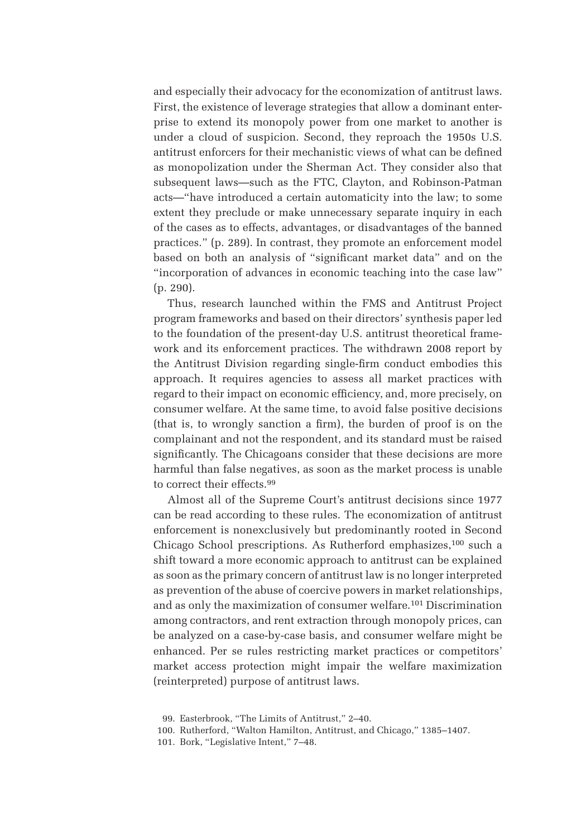and especially their advocacy for the economization of antitrust laws. First, the existence of leverage strategies that allow a dominant enterprise to extend its monopoly power from one market to another is under a cloud of suspicion. Second, they reproach the 1950s U.S. antitrust enforcers for their mechanistic views of what can be defined as monopolization under the Sherman Act. They consider also that subsequent laws—such as the FTC, Clayton, and Robinson-Patman acts—"have introduced a certain automaticity into the law; to some extent they preclude or make unnecessary separate inquiry in each of the cases as to effects, advantages, or disadvantages of the banned practices." (p. 289). In contrast, they promote an enforcement model based on both an analysis of "significant market data" and on the "incorporation of advances in economic teaching into the case law" (p. 290).

Thus, research launched within the FMS and Antitrust Project program frameworks and based on their directors' synthesis paper led to the foundation of the present-day U.S. antitrust theoretical framework and its enforcement practices. The withdrawn 2008 report by the Antitrust Division regarding single-firm conduct embodies this approach. It requires agencies to assess all market practices with regard to their impact on economic efficiency, and, more precisely, on consumer welfare. At the same time, to avoid false positive decisions (that is, to wrongly sanction a firm), the burden of proof is on the complainant and not the respondent, and its standard must be raised significantly. The Chicagoans consider that these decisions are more harmful than false negatives, as soon as the market process is unable to correct their effects. 99

Almost all of the Supreme Court's antitrust decisions since 1977 can be read according to these rules. The economization of antitrust enforcement is nonexclusively but predominantly rooted in Second Chicago School prescriptions. As Rutherford emphasizes, 100 such a shift toward a more economic approach to antitrust can be explained as soon as the primary concern of antitrust law is no longer interpreted as prevention of the abuse of coercive powers in market relationships, and as only the maximization of consumer welfare. 101 Discrimination among contractors, and rent extraction through monopoly prices, can be analyzed on a case-by-case basis, and consumer welfare might be enhanced. Per se rules restricting market practices or competitors' market access protection might impair the welfare maximization (reinterpreted) purpose of antitrust laws.

 <sup>99.</sup> Easterbrook, "The Limits of Antitrust," 2–40.

 <sup>100.</sup> Rutherford, "Walton Hamilton, Antitrust, and Chicago," 1385–1407.

 <sup>101.</sup> Bork, "Legislative Intent," 7–48.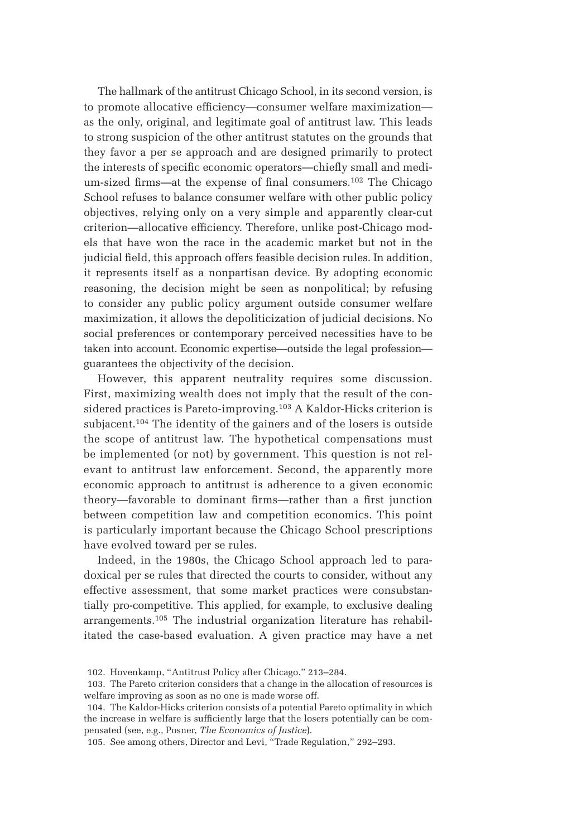The hallmark of the antitrust Chicago School, in its second version, is to promote allocative efficiency—consumer welfare maximization as the only, original, and legitimate goal of antitrust law. This leads to strong suspicion of the other antitrust statutes on the grounds that they favor a per se approach and are designed primarily to protect the interests of specific economic operators—chiefly small and medium-sized firms—at the expense of final consumers.<sup>102</sup> The Chicago School refuses to balance consumer welfare with other public policy objectives, relying only on a very simple and apparently clear-cut criterion—allocative efficiency. Therefore, unlike post-Chicago models that have won the race in the academic market but not in the judicial field, this approach offers feasible decision rules. In addition, it represents itself as a nonpartisan device. By adopting economic reasoning, the decision might be seen as nonpolitical; by refusing to consider any public policy argument outside consumer welfare maximization, it allows the depoliticization of judicial decisions. No social preferences or contemporary perceived necessities have to be taken into account. Economic expertise—outside the legal profession guarantees the objectivity of the decision.

However, this apparent neutrality requires some discussion. First, maximizing wealth does not imply that the result of the considered practices is Pareto-improving.<sup>103</sup> A Kaldor-Hicks criterion is subjacent.<sup>104</sup> The identity of the gainers and of the losers is outside the scope of antitrust law. The hypothetical compensations must be implemented (or not) by government. This question is not relevant to antitrust law enforcement. Second, the apparently more economic approach to antitrust is adherence to a given economic theory—favorable to dominant firms—rather than a first junction between competition law and competition economics. This point is particularly important because the Chicago School prescriptions have evolved toward per se rules.

Indeed, in the 1980s, the Chicago School approach led to paradoxical per se rules that directed the courts to consider, without any effective assessment, that some market practices were consubstantially pro-competitive. This applied, for example, to exclusive dealing arrangements. 105 The industrial organization literature has rehabilitated the case-based evaluation. A given practice may have a net

 <sup>102.</sup> Hovenkamp, "Antitrust Policy after Chicago," 213–284.

 <sup>103.</sup> The Pareto criterion considers that a change in the allocation of resources is welfare improving as soon as no one is made worse off.

 <sup>104.</sup> The Kaldor-Hicks criterion consists of a potential Pareto optimality in which the increase in welfare is sufficiently large that the losers potentially can be compensated (see, e.g., Posner, *The Economics of Justice* ).

 <sup>105.</sup> See among others, Director and Levi, "Trade Regulation," 292–293.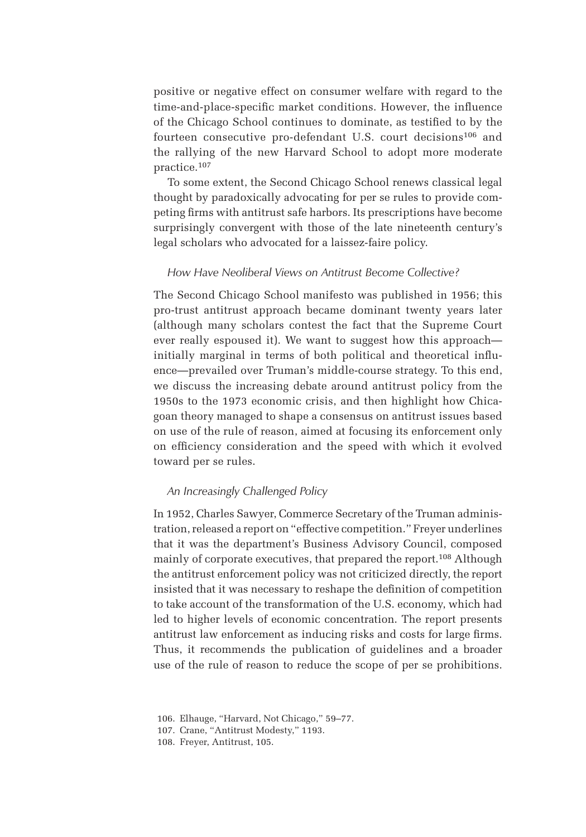positive or negative effect on consumer welfare with regard to the time-and-place-specific market conditions. However, the influence of the Chicago School continues to dominate, as testified to by the fourteen consecutive pro-defendant U.S. court decisions<sup>106</sup> and the rallying of the new Harvard School to adopt more moderate practice. 107

To some extent, the Second Chicago School renews classical legal thought by paradoxically advocating for per se rules to provide competing firms with antitrust safe harbors. Its prescriptions have become surprisingly convergent with those of the late nineteenth century's legal scholars who advocated for a laissez-faire policy.

#### *How Have Neoliberal Views on Antitrust Become Collective?*

The Second Chicago School manifesto was published in 1956; this pro-trust antitrust approach became dominant twenty years later (although many scholars contest the fact that the Supreme Court ever really espoused it). We want to suggest how this approach initially marginal in terms of both political and theoretical influence—prevailed over Truman's middle-course strategy. To this end, we discuss the increasing debate around antitrust policy from the 1950s to the 1973 economic crisis, and then highlight how Chicagoan theory managed to shape a consensus on antitrust issues based on use of the rule of reason, aimed at focusing its enforcement only on efficiency consideration and the speed with which it evolved toward per se rules.

#### *An Increasingly Challenged Policy*

In 1952, Charles Sawyer, Commerce Secretary of the Truman administration, released a report on "effective competition." Freyer underlines that it was the department's Business Advisory Council, composed mainly of corporate executives, that prepared the report.<sup>108</sup> Although the antitrust enforcement policy was not criticized directly, the report insisted that it was necessary to reshape the definition of competition to take account of the transformation of the U.S. economy, which had led to higher levels of economic concentration. The report presents antitrust law enforcement as inducing risks and costs for large firms. Thus, it recommends the publication of guidelines and a broader use of the rule of reason to reduce the scope of per se prohibitions.

 <sup>106.</sup> Elhauge, "Harvard, Not Chicago," 59–77.

 <sup>107.</sup> Crane, "Antitrust Modesty," 1193.

 <sup>108.</sup> Freyer, Antitrust, 105.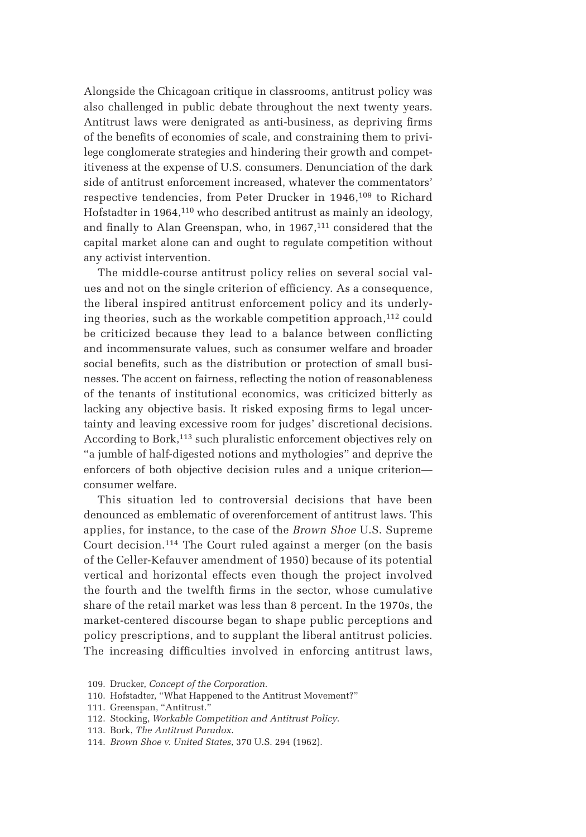Alongside the Chicagoan critique in classrooms, antitrust policy was also challenged in public debate throughout the next twenty years. Antitrust laws were denigrated as anti-business, as depriving firms of the benefits of economies of scale, and constraining them to privilege conglomerate strategies and hindering their growth and competitiveness at the expense of U.S. consumers. Denunciation of the dark side of antitrust enforcement increased, whatever the commentators' respective tendencies, from Peter Drucker in 1946,<sup>109</sup> to Richard Hofstadter in 1964,<sup>110</sup> who described antitrust as mainly an ideology, and finally to Alan Greenspan, who, in  $1967$ ,<sup>111</sup> considered that the capital market alone can and ought to regulate competition without any activist intervention.

The middle-course antitrust policy relies on several social values and not on the single criterion of efficiency. As a consequence, the liberal inspired antitrust enforcement policy and its underlying theories, such as the workable competition approach, 112 could be criticized because they lead to a balance between conflicting and incommensurate values, such as consumer welfare and broader social benefits, such as the distribution or protection of small businesses. The accent on fairness, reflecting the notion of reasonableness of the tenants of institutional economics, was criticized bitterly as lacking any objective basis. It risked exposing firms to legal uncertainty and leaving excessive room for judges' discretional decisions. According to Bork, 113 such pluralistic enforcement objectives rely on "a jumble of half-digested notions and mythologies" and deprive the enforcers of both objective decision rules and a unique criterion consumer welfare.

This situation led to controversial decisions that have been denounced as emblematic of overenforcement of antitrust laws. This applies, for instance, to the case of the *Brown Shoe* U.S. Supreme Court decision. 114 The Court ruled against a merger (on the basis of the Celler-Kefauver amendment of 1950) because of its potential vertical and horizontal effects even though the project involved the fourth and the twelfth firms in the sector, whose cumulative share of the retail market was less than 8 percent. In the 1970s, the market-centered discourse began to shape public perceptions and policy prescriptions, and to supplant the liberal antitrust policies. The increasing difficulties involved in enforcing antitrust laws,

110. Hofstadter, "What Happened to the Antitrust Movement?"

- 113. Bork, *The Antitrust Paradox* .
- 114. *Brown Shoe v. United States* , 370 U.S. 294 (1962).

<sup>109.</sup> Drucker, *Concept of the Corporation*.

 <sup>111.</sup> Greenspan, "Antitrust."

 <sup>112.</sup> Stocking, *Workable Competition and Antitrust Policy* .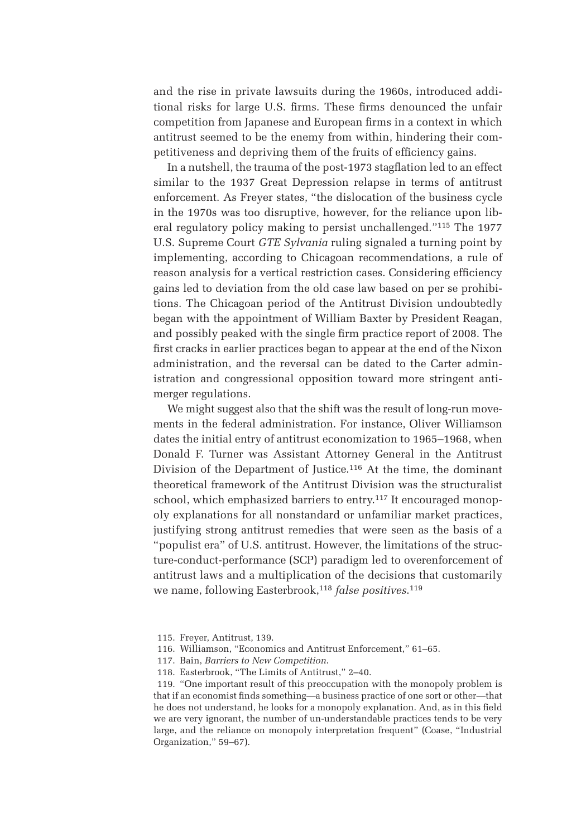and the rise in private lawsuits during the 1960s, introduced additional risks for large U.S. firms. These firms denounced the unfair competition from Japanese and European firms in a context in which antitrust seemed to be the enemy from within, hindering their competitiveness and depriving them of the fruits of efficiency gains.

In a nutshell, the trauma of the post-1973 stagflation led to an effect similar to the 1937 Great Depression relapse in terms of antitrust enforcement. As Freyer states, "the dislocation of the business cycle in the 1970s was too disruptive, however, for the reliance upon liberal regulatory policy making to persist unchallenged."<sup>115</sup> The 1977 U.S. Supreme Court *GTE Sylvania* ruling signaled a turning point by implementing, according to Chicagoan recommendations, a rule of reason analysis for a vertical restriction cases. Considering efficiency gains led to deviation from the old case law based on per se prohibitions. The Chicagoan period of the Antitrust Division undoubtedly began with the appointment of William Baxter by President Reagan, and possibly peaked with the single firm practice report of 2008. The first cracks in earlier practices began to appear at the end of the Nixon administration, and the reversal can be dated to the Carter administration and congressional opposition toward more stringent antimerger regulations.

We might suggest also that the shift was the result of long-run movements in the federal administration. For instance, Oliver Williamson dates the initial entry of antitrust economization to 1965–1968, when Donald F. Turner was Assistant Attorney General in the Antitrust Division of the Department of Justice.<sup>116</sup> At the time, the dominant theoretical framework of the Antitrust Division was the structuralist school, which emphasized barriers to entry.<sup>117</sup> It encouraged monopoly explanations for all nonstandard or unfamiliar market practices, justifying strong antitrust remedies that were seen as the basis of a "populist era" of U.S. antitrust. However, the limitations of the structure-conduct-performance (SCP) paradigm led to overenforcement of antitrust laws and a multiplication of the decisions that customarily we name, following Easterbrook,<sup>118</sup> false positives.<sup>119</sup>

- 116. Williamson, "Economics and Antitrust Enforcement," 61–65.
- 117. Bain, *Barriers to New Competition* .
- 118. Easterbrook, "The Limits of Antitrust," 2–40.

 119. "One important result of this preoccupation with the monopoly problem is that if an economist finds something—a business practice of one sort or other—that he does not understand, he looks for a monopoly explanation. And, as in this field we are very ignorant, the number of un-understandable practices tends to be very large, and the reliance on monopoly interpretation frequent" (Coase, "Industrial Organization," 59–67).

 <sup>115.</sup> Freyer, Antitrust, 139.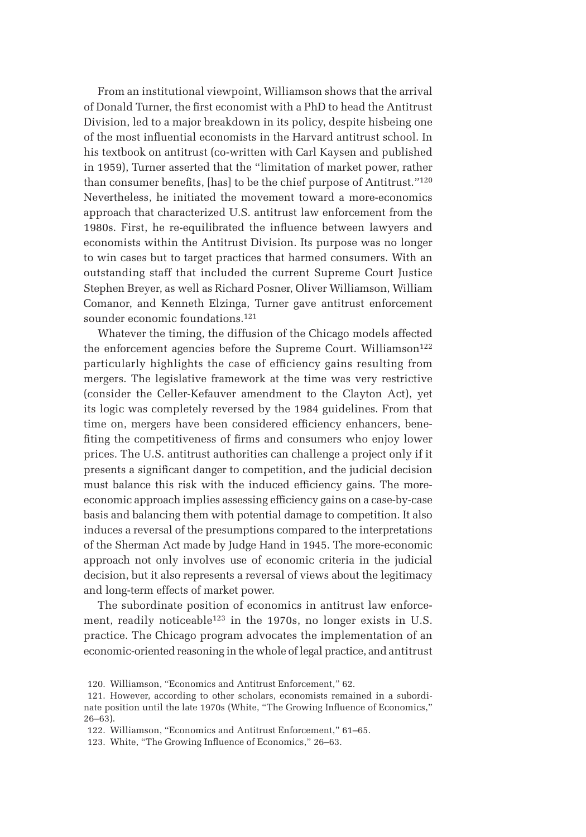From an institutional viewpoint, Williamson shows that the arrival of Donald Turner, the first economist with a PhD to head the Antitrust Division, led to a major breakdown in its policy, despite hisbeing one of the most influential economists in the Harvard antitrust school. In his textbook on antitrust (co-written with Carl Kaysen and published in 1959), Turner asserted that the "limitation of market power, rather than consumer benefits, [has] to be the chief purpose of Antitrust."<sup>120</sup> Nevertheless, he initiated the movement toward a more-economics approach that characterized U.S. antitrust law enforcement from the 1980s. First, he re-equilibrated the influence between lawyers and economists within the Antitrust Division. Its purpose was no longer to win cases but to target practices that harmed consumers. With an outstanding staff that included the current Supreme Court Justice Stephen Breyer, as well as Richard Posner, Oliver Williamson, William Comanor, and Kenneth Elzinga, Turner gave antitrust enforcement sounder economic foundations.<sup>121</sup>

Whatever the timing, the diffusion of the Chicago models affected the enforcement agencies before the Supreme Court. Williamson 122 particularly highlights the case of efficiency gains resulting from mergers. The legislative framework at the time was very restrictive (consider the Celler-Kefauver amendment to the Clayton Act), yet its logic was completely reversed by the 1984 guidelines. From that time on, mergers have been considered efficiency enhancers, benefiting the competitiveness of firms and consumers who enjoy lower prices. The U.S. antitrust authorities can challenge a project only if it presents a significant danger to competition, and the judicial decision must balance this risk with the induced efficiency gains. The moreeconomic approach implies assessing efficiency gains on a case-by-case basis and balancing them with potential damage to competition. It also induces a reversal of the presumptions compared to the interpretations of the Sherman Act made by Judge Hand in 1945. The more-economic approach not only involves use of economic criteria in the judicial decision, but it also represents a reversal of views about the legitimacy and long-term effects of market power.

The subordinate position of economics in antitrust law enforcement, readily noticeable<sup> $123$ </sup> in the 1970s, no longer exists in U.S. practice. The Chicago program advocates the implementation of an economic-oriented reasoning in the whole of legal practice, and antitrust

 <sup>120.</sup> Williamson, "Economics and Antitrust Enforcement," 62.

 <sup>121.</sup> However, according to other scholars, economists remained in a subordinate position until the late 1970s (White, "The Growing Influence of Economics," 26–63).

 <sup>122.</sup> Williamson, "Economics and Antitrust Enforcement," 61–65.

<sup>123.</sup> White, "The Growing Influence of Economics," 26–63.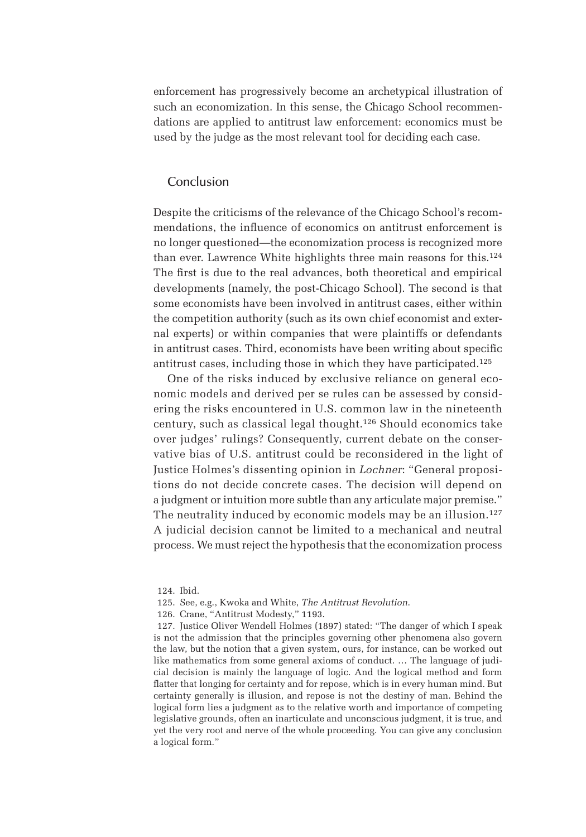enforcement has progressively become an archetypical illustration of such an economization. In this sense, the Chicago School recommendations are applied to antitrust law enforcement: economics must be used by the judge as the most relevant tool for deciding each case.

### Conclusion

Despite the criticisms of the relevance of the Chicago School's recommendations, the influence of economics on antitrust enforcement is no longer questioned—the economization process is recognized more than ever. Lawrence White highlights three main reasons for this. 124 The first is due to the real advances, both theoretical and empirical developments (namely, the post-Chicago School). The second is that some economists have been involved in antitrust cases, either within the competition authority (such as its own chief economist and external experts) or within companies that were plaintiffs or defendants in antitrust cases. Third, economists have been writing about specific antitrust cases, including those in which they have participated. 125

One of the risks induced by exclusive reliance on general economic models and derived per se rules can be assessed by considering the risks encountered in U.S. common law in the nineteenth century, such as classical legal thought. 126 Should economics take over judges' rulings? Consequently, current debate on the conservative bias of U.S. antitrust could be reconsidered in the light of Justice Holmes's dissenting opinion in *Lochner*: "General propositions do not decide concrete cases. The decision will depend on a judgment or intuition more subtle than any articulate major premise." The neutrality induced by economic models may be an illusion. 127 A judicial decision cannot be limited to a mechanical and neutral process. We must reject the hypothesis that the economization process

 <sup>124.</sup> Ibid.

 <sup>125.</sup> See, e.g., Kwoka and White, *The Antitrust Revolution* .

 <sup>126.</sup> Crane, "Antitrust Modesty," 1193.

 <sup>127.</sup> Justice Oliver Wendell Holmes (1897) stated: "The danger of which I speak is not the admission that the principles governing other phenomena also govern the law, but the notion that a given system, ours, for instance, can be worked out like mathematics from some general axioms of conduct. … The language of judicial decision is mainly the language of logic. And the logical method and form flatter that longing for certainty and for repose, which is in every human mind. But certainty generally is illusion, and repose is not the destiny of man. Behind the logical form lies a judgment as to the relative worth and importance of competing legislative grounds, often an inarticulate and unconscious judgment, it is true, and yet the very root and nerve of the whole proceeding. You can give any conclusion a logical form."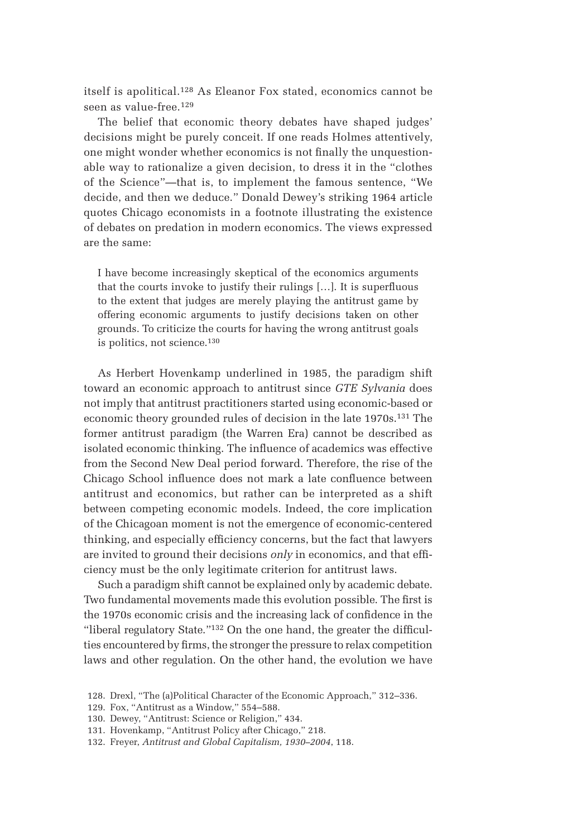itself is apolitical. 128 As Eleanor Fox stated, economics cannot be seen as value-free.<sup>129</sup>

The belief that economic theory debates have shaped judges' decisions might be purely conceit. If one reads Holmes attentively, one might wonder whether economics is not finally the unquestionable way to rationalize a given decision, to dress it in the "clothes of the Science"—that is, to implement the famous sentence, "We decide, and then we deduce." Donald Dewey's striking 1964 article quotes Chicago economists in a footnote illustrating the existence of debates on predation in modern economics. The views expressed are the same:

I have become increasingly skeptical of the economics arguments that the courts invoke to justify their rulings [...]. It is superfluous to the extent that judges are merely playing the antitrust game by offering economic arguments to justify decisions taken on other grounds. To criticize the courts for having the wrong antitrust goals is politics, not science.<sup>130</sup>

As Herbert Hovenkamp underlined in 1985, the paradigm shift toward an economic approach to antitrust since *GTE Sylvania* does not imply that antitrust practitioners started using economic-based or economic theory grounded rules of decision in the late 1970s. 131 The former antitrust paradigm (the Warren Era) cannot be described as isolated economic thinking. The influence of academics was effective from the Second New Deal period forward. Therefore, the rise of the Chicago School influence does not mark a late confluence between antitrust and economics, but rather can be interpreted as a shift between competing economic models. Indeed, the core implication of the Chicagoan moment is not the emergence of economic-centered thinking, and especially efficiency concerns, but the fact that lawyers are invited to ground their decisions *only* in economics, and that efficiency must be the only legitimate criterion for antitrust laws.

Such a paradigm shift cannot be explained only by academic debate. Two fundamental movements made this evolution possible. The first is the 1970s economic crisis and the increasing lack of confidence in the "liberal regulatory State."<sup>132</sup> On the one hand, the greater the difficulties encountered by firms, the stronger the pressure to relax competition laws and other regulation. On the other hand, the evolution we have

 <sup>128.</sup> Drexl, "The (a)Political Character of the Economic Approach," 312–336.

 <sup>129.</sup> Fox, "Antitrust as a Window," 554–588.

 <sup>130.</sup> Dewey, "Antitrust: Science or Religion," 434.

 <sup>131.</sup> Hovenkamp, "Antitrust Policy after Chicago," 218.

 <sup>132.</sup> Freyer, *Antitrust and Global Capitalism, 1930–2004* , 118.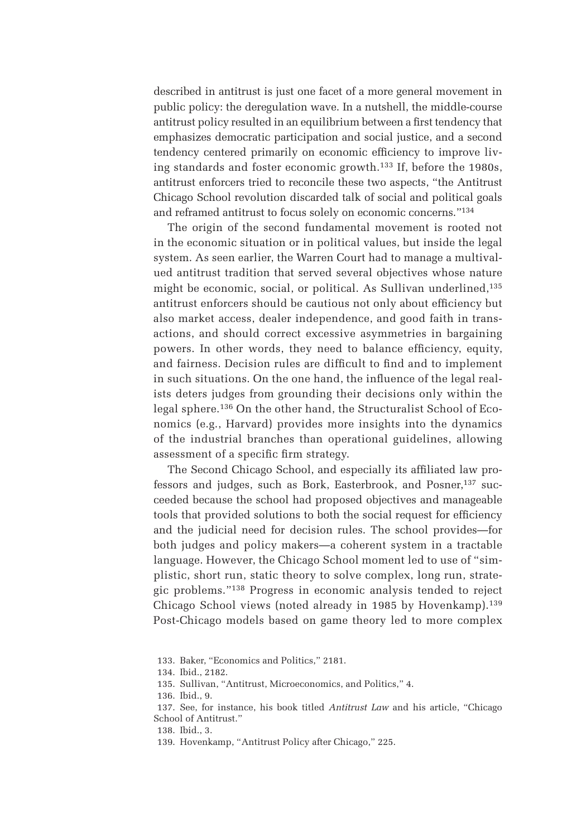described in antitrust is just one facet of a more general movement in public policy: the deregulation wave. In a nutshell, the middle-course antitrust policy resulted in an equilibrium between a first tendency that emphasizes democratic participation and social justice, and a second tendency centered primarily on economic efficiency to improve living standards and foster economic growth. 133 If, before the 1980s, antitrust enforcers tried to reconcile these two aspects, "the Antitrust Chicago School revolution discarded talk of social and political goals and reframed antitrust to focus solely on economic concerns." 134

The origin of the second fundamental movement is rooted not in the economic situation or in political values, but inside the legal system. As seen earlier, the Warren Court had to manage a multivalued antitrust tradition that served several objectives whose nature might be economic, social, or political. As Sullivan underlined,<sup>135</sup> antitrust enforcers should be cautious not only about efficiency but also market access, dealer independence, and good faith in transactions, and should correct excessive asymmetries in bargaining powers. In other words, they need to balance efficiency, equity, and fairness. Decision rules are difficult to find and to implement in such situations. On the one hand, the influence of the legal realists deters judges from grounding their decisions only within the legal sphere. 136 On the other hand, the Structuralist School of Economics (e.g., Harvard) provides more insights into the dynamics of the industrial branches than operational guidelines, allowing assessment of a specific firm strategy.

The Second Chicago School, and especially its affiliated law professors and judges, such as Bork, Easterbrook, and Posner, 137 succeeded because the school had proposed objectives and manageable tools that provided solutions to both the social request for efficiency and the judicial need for decision rules. The school provides—for both judges and policy makers—a coherent system in a tractable language. However, the Chicago School moment led to use of "simplistic, short run, static theory to solve complex, long run, strategic problems." 138 Progress in economic analysis tended to reject Chicago School views (noted already in 1985 by Hovenkamp). 139 Post-Chicago models based on game theory led to more complex

138. Ibid., 3.

 <sup>133.</sup> Baker, "Economics and Politics," 2181.

 <sup>134.</sup> Ibid., 2182.

 <sup>135.</sup> Sullivan, "Antitrust, Microeconomics, and Politics," 4.

 <sup>136.</sup> Ibid., 9.

 <sup>137.</sup> See, for instance, his book titled *Antitrust Law* and his article, "Chicago School of Antitrust."

 <sup>139.</sup> Hovenkamp, "Antitrust Policy after Chicago," 225.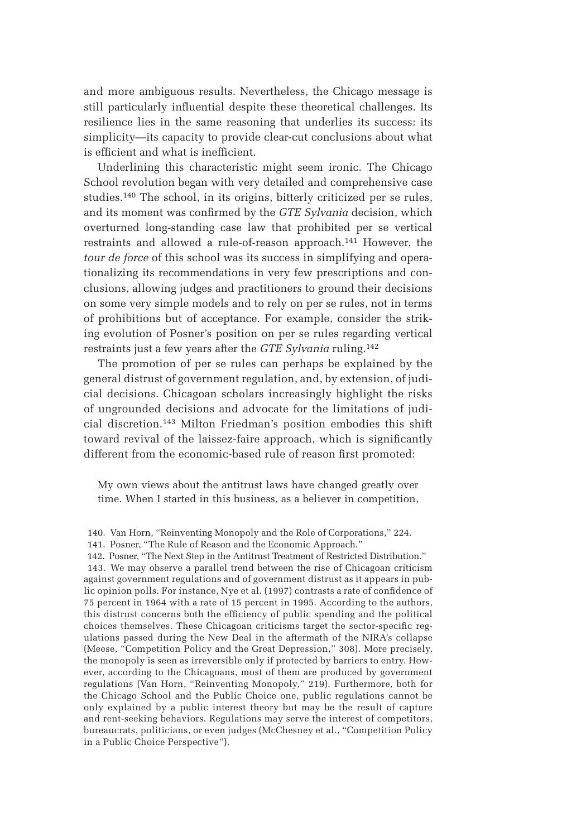and more ambiguous results. Nevertheless, the Chicago message is still particularly influential despite these theoretical challenges. Its resilience lies in the same reasoning that underlies its success: its simplicity—its capacity to provide clear-cut conclusions about what is efficient and what is inefficient.

Underlining this characteristic might seem ironic. The Chicago School revolution began with very detailed and comprehensive case studies. 140 The school, in its origins, bitterly criticized per se rules, and its moment was confirmed by the *GTE Sylvania* decision, which overturned long-standing case law that prohibited per se vertical restraints and allowed a rule-of-reason approach.<sup>141</sup> However, the *tour de force* of this school was its success in simplifying and operationalizing its recommendations in very few prescriptions and conclusions, allowing judges and practitioners to ground their decisions on some very simple models and to rely on per se rules, not in terms of prohibitions but of acceptance. For example, consider the striking evolution of Posner's position on per se rules regarding vertical restraints just a few years after the *GTE Sylvania* ruling. 142

The promotion of per se rules can perhaps be explained by the general distrust of government regulation, and, by extension, of judicial decisions. Chicagoan scholars increasingly highlight the risks of ungrounded decisions and advocate for the limitations of judicial discretion. 143 Milton Friedman's position embodies this shift toward revival of the laissez-faire approach, which is significantly different from the economic-based rule of reason first promoted:

My own views about the antitrust laws have changed greatly over time. When I started in this business, as a believer in competition,

142. Posner, "The Next Step in the Antitrust Treatment of Restricted Distribution." 143. We may observe a parallel trend between the rise of Chicagoan criticism against government regulations and of government distrust as it appears in public opinion polls. For instance, Nye et al. (1997) contrasts a rate of confidence of 75 percent in 1964 with a rate of 15 percent in 1995. According to the authors, this distrust concerns both the efficiency of public spending and the political choices themselves. These Chicagoan criticisms target the sector-specific regulations passed during the New Deal in the aftermath of the NIRA's collapse (Meese, "Competition Policy and the Great Depression," 308). More precisely, the monopoly is seen as irreversible only if protected by barriers to entry. However, according to the Chicagoans, most of them are produced by government regulations (Van Horn, "Reinventing Monopoly," 219). Furthermore, both for the Chicago School and the Public Choice one, public regulations cannot be only explained by a public interest theory but may be the result of capture and rent-seeking behaviors. Regulations may serve the interest of competitors, bureaucrats, politicians, or even judges (McChesney et al., "Competition Policy in a Public Choice Perspective").

 <sup>140.</sup> Van Horn, "Reinventing Monopoly and the Role of Corporations," 224.

 <sup>141.</sup> Posner, "The Rule of Reason and the Economic Approach."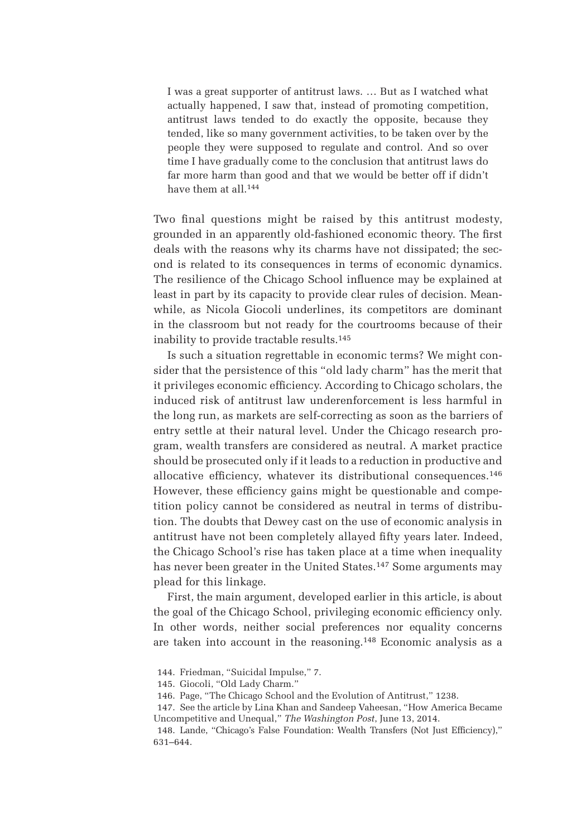I was a great supporter of antitrust laws. … But as I watched what actually happened, I saw that, instead of promoting competition, antitrust laws tended to do exactly the opposite, because they tended, like so many government activities, to be taken over by the people they were supposed to regulate and control. And so over time I have gradually come to the conclusion that antitrust laws do far more harm than good and that we would be better off if didn't have them at all.<sup>144</sup>

Two final questions might be raised by this antitrust modesty, grounded in an apparently old-fashioned economic theory. The first deals with the reasons why its charms have not dissipated; the second is related to its consequences in terms of economic dynamics. The resilience of the Chicago School influence may be explained at least in part by its capacity to provide clear rules of decision. Meanwhile, as Nicola Giocoli underlines, its competitors are dominant in the classroom but not ready for the courtrooms because of their inability to provide tractable results. 145

Is such a situation regrettable in economic terms? We might consider that the persistence of this "old lady charm" has the merit that it privileges economic efficiency. According to Chicago scholars, the induced risk of antitrust law underenforcement is less harmful in the long run, as markets are self-correcting as soon as the barriers of entry settle at their natural level. Under the Chicago research program, wealth transfers are considered as neutral. A market practice should be prosecuted only if it leads to a reduction in productive and allocative efficiency, whatever its distributional consequences.<sup>146</sup> However, these efficiency gains might be questionable and competition policy cannot be considered as neutral in terms of distribution. The doubts that Dewey cast on the use of economic analysis in antitrust have not been completely allayed fifty years later. Indeed, the Chicago School's rise has taken place at a time when inequality has never been greater in the United States.<sup>147</sup> Some arguments may plead for this linkage.

First, the main argument, developed earlier in this article, is about the goal of the Chicago School, privileging economic efficiency only. In other words, neither social preferences nor equality concerns are taken into account in the reasoning. 148 Economic analysis as a

 <sup>144.</sup> Friedman, "Suicidal Impulse," 7.

 <sup>145.</sup> Giocoli, "Old Lady Charm."

 <sup>146.</sup> Page, "The Chicago School and the Evolution of Antitrust," 1238.

 <sup>147.</sup> See the article by Lina Khan and Sandeep Vaheesan, "How America Became Uncompetitive and Unequal," The Washington Post, June 13, 2014.

<sup>148.</sup> Lande, "Chicago's False Foundation: Wealth Transfers (Not Just Efficiency)," 631–644.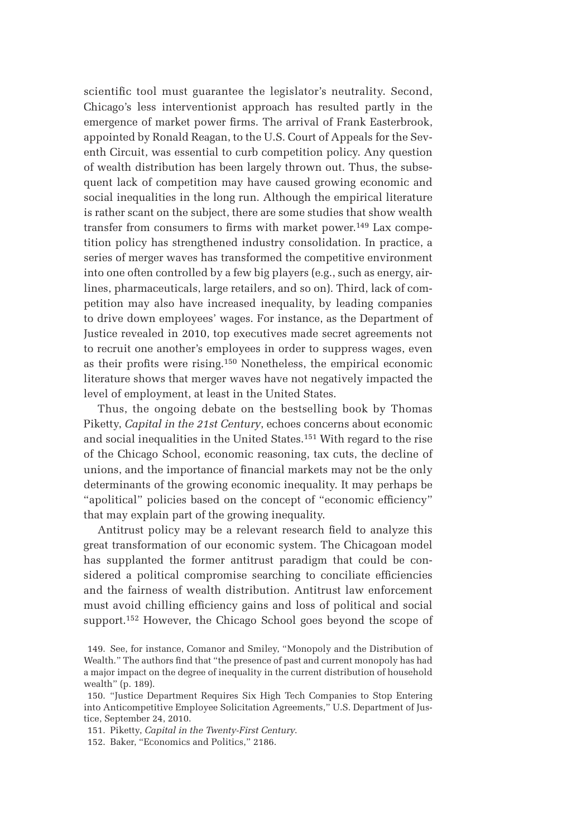scientific tool must guarantee the legislator's neutrality. Second, Chicago's less interventionist approach has resulted partly in the emergence of market power firms. The arrival of Frank Easterbrook, appointed by Ronald Reagan, to the U.S. Court of Appeals for the Seventh Circuit, was essential to curb competition policy. Any question of wealth distribution has been largely thrown out. Thus, the subsequent lack of competition may have caused growing economic and social inequalities in the long run. Although the empirical literature is rather scant on the subject, there are some studies that show wealth transfer from consumers to firms with market power.<sup>149</sup> Lax competition policy has strengthened industry consolidation. In practice, a series of merger waves has transformed the competitive environment into one often controlled by a few big players (e.g., such as energy, airlines, pharmaceuticals, large retailers, and so on). Third, lack of competition may also have increased inequality, by leading companies to drive down employees' wages. For instance, as the Department of Justice revealed in 2010, top executives made secret agreements not to recruit one another's employees in order to suppress wages, even as their profits were rising.<sup>150</sup> Nonetheless, the empirical economic literature shows that merger waves have not negatively impacted the level of employment, at least in the United States.

Thus, the ongoing debate on the bestselling book by Thomas Piketty, *Capital in the 21st Century*, echoes concerns about economic and social inequalities in the United States. 151 With regard to the rise of the Chicago School, economic reasoning, tax cuts, the decline of unions, and the importance of financial markets may not be the only determinants of the growing economic inequality. It may perhaps be "apolitical" policies based on the concept of "economic efficiency" that may explain part of the growing inequality.

Antitrust policy may be a relevant research field to analyze this great transformation of our economic system. The Chicagoan model has supplanted the former antitrust paradigm that could be considered a political compromise searching to conciliate efficiencies and the fairness of wealth distribution. Antitrust law enforcement must avoid chilling efficiency gains and loss of political and social support.<sup>152</sup> However, the Chicago School goes beyond the scope of

 149. See, for instance, Comanor and Smiley, "Monopoly and the Distribution of Wealth." The authors find that "the presence of past and current monopoly has had a major impact on the degree of inequality in the current distribution of household wealth" (p. 189).

 150. "Justice Department Requires Six High Tech Companies to Stop Entering into Anticompetitive Employee Solicitation Agreements," U.S. Department of Justice, September 24, 2010.

151. Piketty, *Capital in the Twenty-First Century* .

152. Baker, "Economics and Politics," 2186.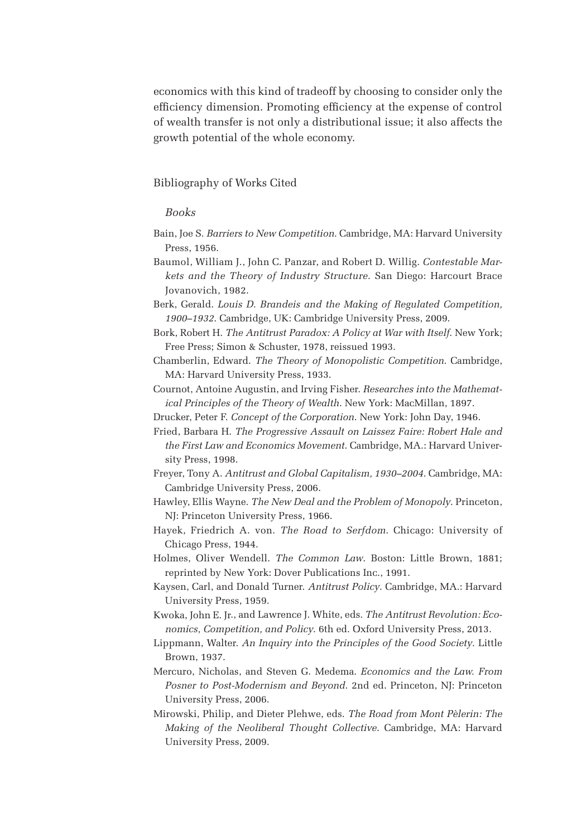economics with this kind of tradeoff by choosing to consider only the efficiency dimension. Promoting efficiency at the expense of control of wealth transfer is not only a distributional issue; it also affects the growth potential of the whole economy.

#### Bibliography of Works Cited

#### *Books*

- Bain , Joe S . *Barriers to New Competition*. Cambridge, MA : Harvard University Press, 1956.
- Baumol, William J., John C. Panzar, and Robert D. Willig. Contestable Markets and the Theory of Industry Structure. San Diego: Harcourt Brace Jovanovich, 1982.
- Berk, Gerald. *Louis D. Brandeis and the Making of Regulated Competition*, 1900–1932. Cambridge, UK: Cambridge University Press, 2009.
- Bork, Robert H. The Antitrust Paradox: A Policy at War with Itself. New York; Free Press; Simon & Schuster, 1978, reissued 1993.
- Chamberlin, Edward. The Theory of Monopolistic Competition. Cambridge, MA: Harvard University Press, 1933.
- Cournot, Antoine Augustin, and Irving Fisher. Researches into the Mathemat*ical Principles of the Theory of Wealth*. New York: MacMillan, 1897.
- Drucker, Peter F. Concept of the Corporation. New York: John Day, 1946.
- Fried, Barbara H. *The Progressive Assault on Laissez Faire: Robert Hale and the First Law and Economics Movement*. Cambridge, MA .: Harvard University Press, 1998.
- Freyer , Tony A . *Antitrust and Global Capitalism, 1930–2004*. Cambridge, MA : Cambridge University Press, 2006.
- Hawley , Ellis Wayne . *The New Deal and the Problem of Monopoly*. Princeton, NJ: Princeton University Press, 1966.
- Hayek, Friedrich A. von. The Road to Serfdom. Chicago: University of Chicago Press, 1944.
- Holmes, Oliver Wendell. *The Common Law*. Boston: Little Brown, 1881; reprinted by New York: Dover Publications Inc., 1991 .
- Kaysen, Carl, and Donald Turner. Antitrust Policy. Cambridge, MA.: Harvard University Press, 1959.
- Kwoka , John E.Jr. , and Lawrence J.White , eds. *The Antitrust Revolution: Eco*nomics, Competition, and Policy. 6th ed. Oxford University Press, 2013.
- Lippmann , Walter . *An Inquiry into the Principles of the Good Society*. Little Brown, 1937.
- Mercuro, Nicholas, and Steven G. Medema. *Economics and the Law. From* Posner to Post-Modernism and Beyond. 2nd ed. Princeton, NJ: Princeton University Press, 2006.
- Mirowski, Philip, and Dieter Plehwe, eds. *The Road from Mont Pèlerin: The Making of the Neoliberal Thought Collective*. Cambridge, MA: Harvard University Press, 2009.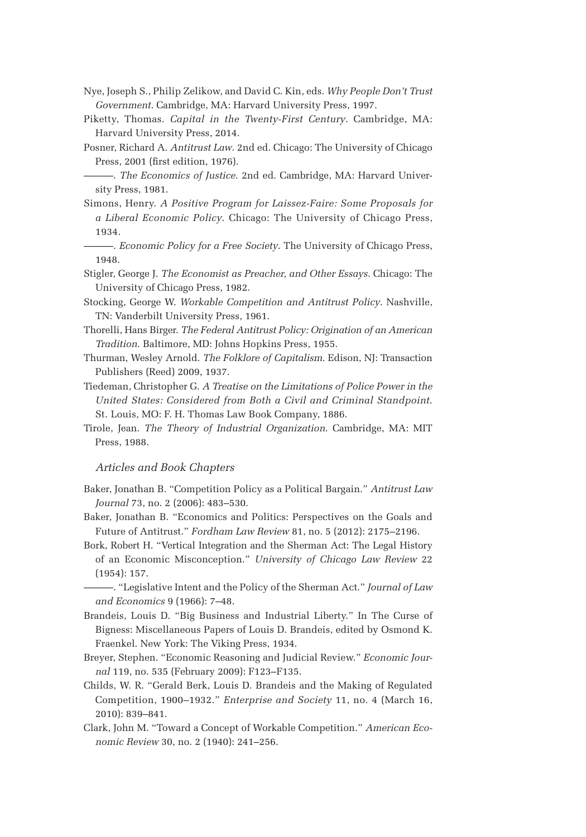- Nye , Joseph S. , PhilipZelikow , and David C.Kin , eds. *Why People Don't Trust*  Government. Cambridge, MA: Harvard University Press, 1997.
- Piketty, Thomas. *Capital in the Twenty-First Century*. Cambridge, MA: Harvard University Press, 2014.
- Posner, Richard A. *Antitrust Law.* 2nd ed. Chicago: The University of Chicago Press, 2001 (first edition, 1976).
- ——— . *The Economics of Justice*. 2nd ed. Cambridge, MA: Harvard University Press, 1981.
- Simons , Henry . *A Positive Program for Laissez-Faire: Some Proposals for a Liberal Economic Policy*. Chicago: The University of Chicago Press, 1934 .
- ——— . *Economic Policy for a Free Society*. The University of Chicago Press , 1948.
- Stigler, George J. *The Economist as Preacher, and Other Essays*. Chicago: The University of Chicago Press, 1982.
- Stocking, George W. Workable Competition and Antitrust Policy. Nashville, TN: Vanderbilt University Press, 1961.
- Thorelli, Hans Birger. *The Federal Antitrust Policy: Origination of an American Tradition*. Baltimore, MD: Johns Hopkins Press, 1955.
- Thurman, Wesley Arnold. The Folklore of Capitalism. Edison, NJ: Transaction Publishers (Reed) 2009, 1937 .
- Tiedeman, Christopher G. A Treatise on the Limitations of Police Power in the *United States: Considered from Both a Civil and Criminal Standpoint* . St. Louis, MO: F. H. Thomas Law Book Company, 1886.
- Tirole , Jean . *The Theory of Industrial Organization*. Cambridge, MA : MIT Press, 1988.

#### *Articles and Book Chapters*

- Baker, Jonathan B. "Competition Policy as a Political Bargain." Antitrust Law *Journal* 73, no. 2 (2006): 483-530.
- Baker, Jonathan B. "Economics and Politics: Perspectives on the Goals and Future of Antitrust." *Fordham Law Review* 81, no. 5 (2012): 2175-2196.
- Bork, Robert H. "Vertical Integration and the Sherman Act: The Legal History of an Economic Misconception ." *University of Chicago Law Review* 22  $(1954): 157.$
- ——— . " Legislative Intent and the Policy of the Sherman Act ." *Journal of Law*  and *Economics* 9 (1966): 7-48.
- Brandeis, Louis D. "Big Business and Industrial Liberty." In The Curse of Bigness: Miscellaneous Papers of Louis D. Brandeis, edited by Osmond K. Fraenkel. New York: The Viking Press, 1934.
- Breyer, Stephen. "Economic Reasoning and Judicial Review." *Economic Jour*nal 119, no. 535 (February 2009): F123-F135.
- Childs, W. R. "Gerald Berk, Louis D. Brandeis and the Making of Regulated Competition, 1900–1932." *Enterprise and Society* 11, no. 4 (March 16, 2010 ): 839 – 841 .
- Clark , John M . " Toward a Concept of Workable Competition ." *American Economic Review* 30, no. 2 (1940): 241-256.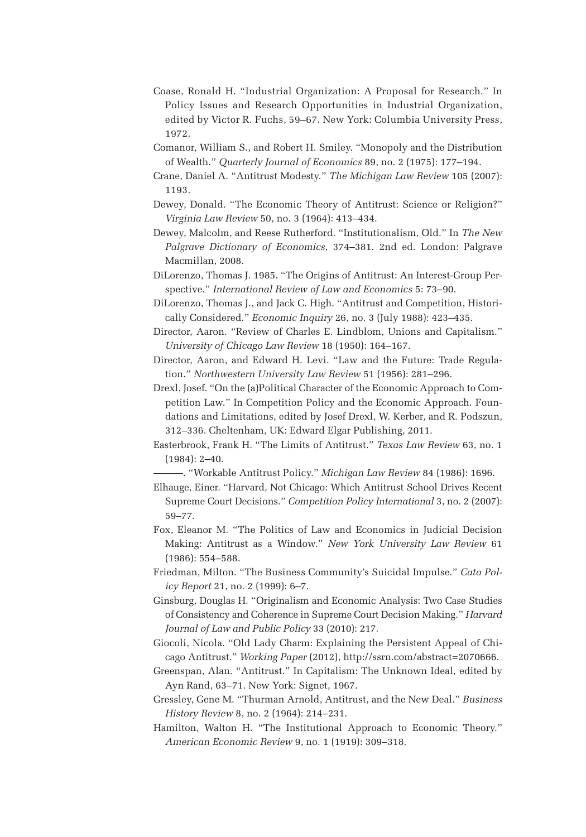- Coase, Ronald H. "Industrial Organization: A Proposal for Research." In Policy Issues and Research Opportunities in Industrial Organization, edited by Victor R. Fuchs, 59-67. New York: Columbia University Press, 1972 .
- Comanor, William S., and Robert H. Smiley. "Monopoly and the Distribution of Wealth." *Quarterly Journal of Economics* 89, no. 2 (1975): 177-194.
- Crane, Daniel A. "Antitrust Modesty." The Michigan Law Review 105 (2007): 1193.
- Dewey, Donald. "The Economic Theory of Antitrust: Science or Religion?" *Virginia Law Review* 50, no. 3 (1964): 413-434.
- Dewey, Malcolm, and Reese Rutherford. "Institutionalism, Old." In *The New* Palgrave Dictionary of Economics, 374-381. 2nd ed. London: Palgrave Macmillan, 2008.
- DiLorenzo, Thomas J. 1985. "The Origins of Antitrust: An Interest-Group Perspective." *International Review of Law and Economics* 5: 73-90.
- DiLorenzo , Thomas J. , and Jack C.High . " Antitrust and Competition, Historically Considered." *Economic Inquiry* 26, no. 3 (July 1988): 423-435.
- Director, Aaron. "Review of Charles E. Lindblom, Unions and Capitalism." *University of Chicago Law Review* 18 (1950): 164-167.
- Director, Aaron, and Edward H. Levi. "Law and the Future: Trade Regulation." *Northwestern University Law Review* 51 (1956): 281-296.
- Drexl, Josef. "On the (a)Political Character of the Economic Approach to Competition Law." In Competition Policy and the Economic Approach. Foundations and Limitations, edited by Josef Drexl, W. Kerber, and R. Podszun, 312-336. Cheltenham, UK: Edward Elgar Publishing, 2011.
- Easterbrook, Frank H. "The Limits of Antitrust." *Texas Law Review* 63, no. 1  $(1984): 2 - 40.$ 
	- ——— . " Workable Antitrust Policy ." *Michigan Law Review* 84 ( 1986 ): 1696 .
- Elhauge , Einer." Harvard, Not Chicago: Which Antitrust School Drives Recent Supreme Court Decisions." *Competition Policy International* 3, no. 2 (2007): 59 – 77.
- Fox, Eleanor M. "The Politics of Law and Economics in Judicial Decision Making: Antitrust as a Window ." *New York University Law Review* 61 ( 1986 ): 554 – 588 .
- Friedman, Milton. "The Business Community's Suicidal Impulse." Cato Pol*icy Report* 21, no. 2 (1999): 6-7.
- Ginsburg, Douglas H. "Originalism and Economic Analysis: Two Case Studies of Consistency and Coherence in Supreme Court Decision Making ." *Harvard*  Journal of Law and Public Policy 33 (2010): 217.
- Giocoli, Nicola. "Old Lady Charm: Explaining the Persistent Appeal of Chicago Antitrust." *Working Paper* (2012), http://ssrn.com/abstract=2070666.
- Greenspan, Alan. "Antitrust." In Capitalism: The Unknown Ideal, edited by Ayn Rand, 63–71. New York: Signet, 1967.
- Gressley , Gene M . " Thurman Arnold, Antitrust, and the New Deal ." *Business History Review* 8, no. 2 (1964): 214-231.
- Hamilton, Walton H. "The Institutional Approach to Economic Theory." *American Economic Review* 9, no. 1 (1919): 309-318.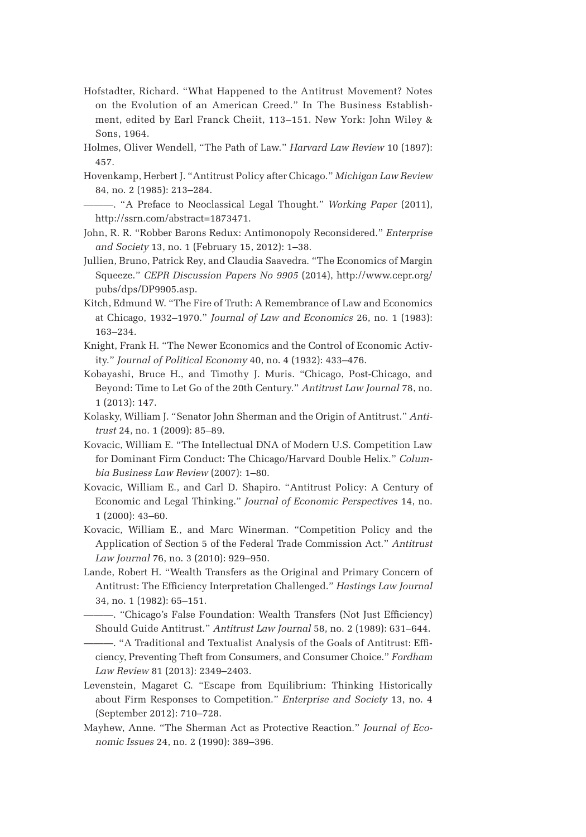- Hofstadter, Richard. "What Happened to the Antitrust Movement? Notes on the Evolution of an American Creed ." In The Business Establishment, edited by Earl Franck Cheiit, 113-151. New York: John Wiley & Sons, 1964.
- Holmes , Oliver Wendell , " The Path of Law ." *Harvard Law Review* 10( 1897 ): 457 .
- Hovenkamp, Herbert J. "Antitrust Policy after Chicago." Michigan Law Review 84, no. 2 (1985): 213-284.
- ——— . " A Preface to Neoclassical Legal Thought ." *Working Paper* ( 2011 ), http://ssrn.com/abstract=1873471 .
- John, R. R. "Robber Barons Redux: Antimonopoly Reconsidered." *Enterprise* and Society 13, no. 1 (February 15, 2012): 1-38.
- Jullien, Bruno, Patrick Rey, and Claudia Saavedra. "The Economics of Margin Squeeze." *CEPR Discussion Papers No 9905* (2014), http://www.cepr.org/ pubs/dps/DP9905.asp.
- Kitch, Edmund W. "The Fire of Truth: A Remembrance of Law and Economics at Chicago, 1932–1970 ." *Journal of Law and Economics* 26 , no. 1( 1983 ): 163-234.
- Knight, Frank H. "The Newer Economics and the Control of Economic Activity." *Journal of Political Economy* 40, no. 4 (1932): 433-476.
- Kobayashi, Bruce H., and Timothy J. Muris. "Chicago, Post-Chicago, and Beyond: Time to Let Go of the 20th Century ." *Antitrust Law Journal* 78 , no. 1 ( 2013 ): 147.
- Kolasky, William J. "Senator John Sherman and the Origin of Antitrust." Anti*trust* 24, no. 1 (2009): 85-89.
- Kovacic, William E. "The Intellectual DNA of Modern U.S. Competition Law for Dominant Firm Conduct: The Chicago/Harvard Double Helix ." *Colum*bia Business Law Review (2007): 1-80.
- Kovacic, William E., and Carl D. Shapiro. "Antitrust Policy: A Century of Economic and Legal Thinking ." *Journal of Economic Perspectives* 14 , no. 1 (2000): 43-60.
- Kovacic , William E. , and Marc Winerman . " Competition Policy and the Application of Section 5 of the Federal Trade Commission Act ." *Antitrust*  Law Journal 76, no. 3 (2010): 929-950.
- Lande, Robert H. "Wealth Transfers as the Original and Primary Concern of Antitrust: The Efficiency Interpretation Challenged." *Hastings Law Journal* 34, no. 1 (1982): 65-151.
- —. "Chicago's False Foundation: Wealth Transfers (Not Just Efficiency) Should Guide Antitrust." Antitrust Law Journal 58, no. 2 (1989): 631-644.
- ——— . " A Traditional and Textualist Analysis of the Goals of Antitrust: Effi ciency, Preventing Theft from Consumers, and Consumer Choice ." *Fordham*  Law Review 81 (2013): 2349-2403.
- Levenstein, Magaret C. "Escape from Equilibrium: Thinking Historically about Firm Responses to Competition." *Enterprise and Society* 13, no. 4 (September 2012): 710-728.
- Mayhew , Anne . " The Sherman Act as Protective Reaction ." *Journal of Economic Issues* 24 , no. 2 ( 1990 ): 389 – 396 .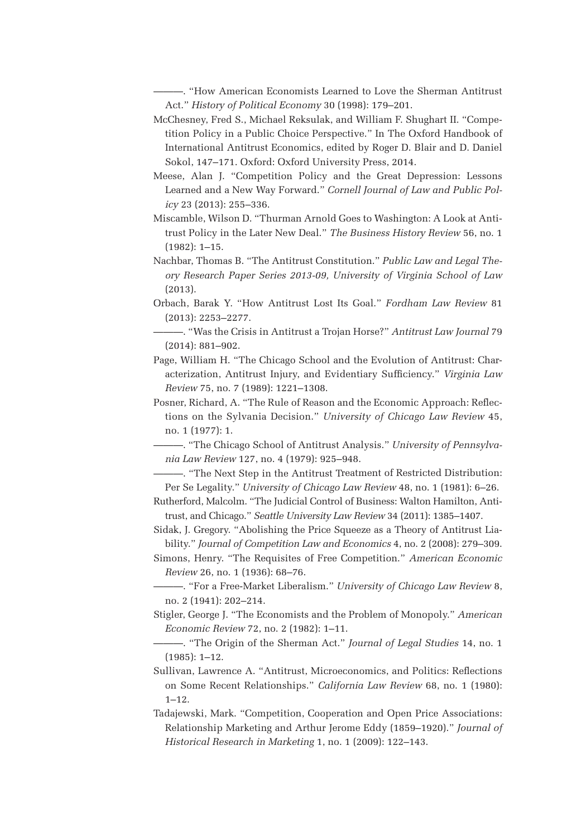- ——— . " How American Economists Learned to Love the Sherman Antitrust Act." *History of Political Economy* 30 (1998): 179-201.
- McChesney, Fred S., Michael Reksulak, and William F. Shughart II. "Competition Policy in a Public Choice Perspective ." In The Oxford Handbook of International Antitrust Economics, edited by Roger D. Blair and D. Daniel Sokol, 147-171. Oxford: Oxford University Press, 2014.
- Meese, Alan J. "Competition Policy and the Great Depression: Lessons Learned and a New Way Forward ." *Cornell Journal of Law and Public Policy* 23 (2013): 255-336.
- Miscamble, Wilson D. "Thurman Arnold Goes to Washington: A Look at Antitrust Policy in the Later New Deal ." *The Business History Review* 56 , no. 1  $(1982): 1 - 15.$
- Nachbar, Thomas B. "The Antitrust Constitution." *Public Law and Legal Theory Research Paper Series 2013-09, University of Virginia School of Law*  $(2013).$
- Orbach , Barak Y . " How Antitrust Lost Its Goal ." *Fordham Law Review* 81 ( 2013 ): 2253 – 2277 .
- ——— . " Was the Crisis in Antitrust a Trojan Horse? " *Antitrust Law Journal* 79  $(2014): 881 - 902.$
- Page, William H. "The Chicago School and the Evolution of Antitrust: Characterization, Antitrust Injury, and Evidentiary Sufficiency." Virginia Law *Review* 75, no. 7 (1989): 1221-1308.
- Posner, Richard, A. "The Rule of Reason and the Economic Approach: Reflections on the Sylvania Decision." *University of Chicago Law Review* 45, no. 1 (1977): 1.

 ——— . " The Chicago School of Antitrust Analysis ." *University of Pennsylvania Law Review* 127 , no. 4 ( 1979 ): 925 – 948 .

- ——— . " The Next Step in the Antitrust Treatment of Restricted Distribution: Per Se Legality." *University of Chicago Law Review* 48, no. 1 (1981): 6-26.
- Rutherford, Malcolm. "The Judicial Control of Business: Walton Hamilton, Antitrust, and Chicago." *Seattle University Law Review* 34 (2011): 1385-1407.
- Sidak , J. Gregory . " Abolishing the Price Squeeze as a Theory of Antitrust Liability." *Journal of Competition Law and Economics* 4, no. 2 (2008): 279–309.
- Simons, Henry. "The Requisites of Free Competition." *American Economic Review* 26, no. 1 (1936): 68-76.
- ——— . " For a Free-Market Liberalism ." *University of Chicago Law Review* 8 , no. 2 (1941): 202-214.
- Stigler, George J. "The Economists and the Problem of Monopoly." American *Economic Review* 72, no. 2 (1982): 1-11.

 ——— . " The Origin of the Sherman Act ." *Journal of Legal Studies* 14 , no. 1  $(1985): 1 - 12.$ 

- Sullivan, Lawrence A. "Antitrust, Microeconomics, and Politics: Reflections on Some Recent Relationships." *California Law Review* 68, no. 1 (1980):  $1 - 12.$
- Tadajewski, Mark. "Competition, Cooperation and Open Price Associations: Relationship Marketing and Arthur Jerome Eddy (1859–1920) ." *Journal of Historical Research in Marketing* 1, no. 1 (2009): 122-143.